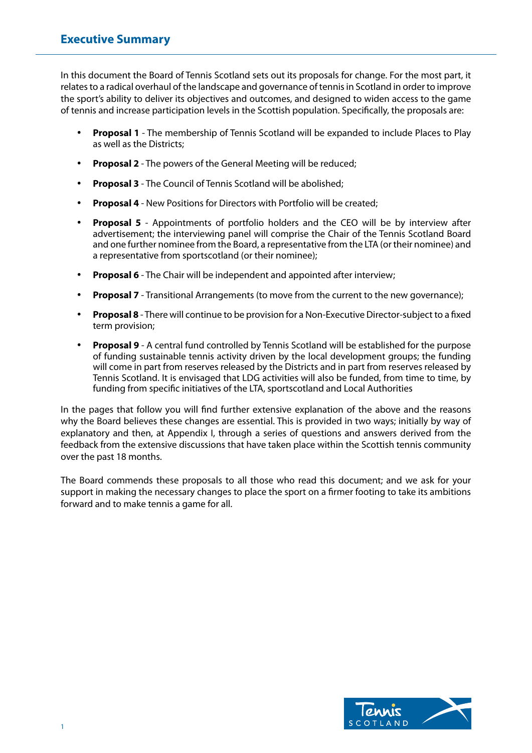In this document the Board of Tennis Scotland sets out its proposals for change. For the most part, it relates to a radical overhaul of the landscape and governance of tennis in Scotland in order to improve the sport's ability to deliver its objectives and outcomes, and designed to widen access to the game of tennis and increase participation levels in the Scottish population. Specifically, the proposals are:

- **Proposal 1** The membership of Tennis Scotland will be expanded to include Places to Play as well as the Districts;
- **Proposal 2** The powers of the General Meeting will be reduced;
- **Proposal 3** The Council of Tennis Scotland will be abolished;
- **Proposal 4** New Positions for Directors with Portfolio will be created;
- **Proposal 5** Appointments of portfolio holders and the CEO will be by interview after advertisement; the interviewing panel will comprise the Chair of the Tennis Scotland Board and one further nominee from the Board, a representative from the LTA (or their nominee) and a representative from sportscotland (or their nominee);
- **Proposal 6** The Chair will be independent and appointed after interview;
- **Proposal 7** Transitional Arrangements (to move from the current to the new governance);
- **Proposal 8** There will continue to be provision for a Non-Executive Director-subject to a fixed term provision;
- **Proposal 9** A central fund controlled by Tennis Scotland will be established for the purpose of funding sustainable tennis activity driven by the local development groups; the funding will come in part from reserves released by the Districts and in part from reserves released by Tennis Scotland. It is envisaged that LDG activities will also be funded, from time to time, by funding from specific initiatives of the LTA, sportscotland and Local Authorities

In the pages that follow you will find further extensive explanation of the above and the reasons why the Board believes these changes are essential. This is provided in two ways; initially by way of explanatory and then, at Appendix I, through a series of questions and answers derived from the feedback from the extensive discussions that have taken place within the Scottish tennis community over the past 18 months.

The Board commends these proposals to all those who read this document; and we ask for your support in making the necessary changes to place the sport on a firmer footing to take its ambitions forward and to make tennis a game for all.

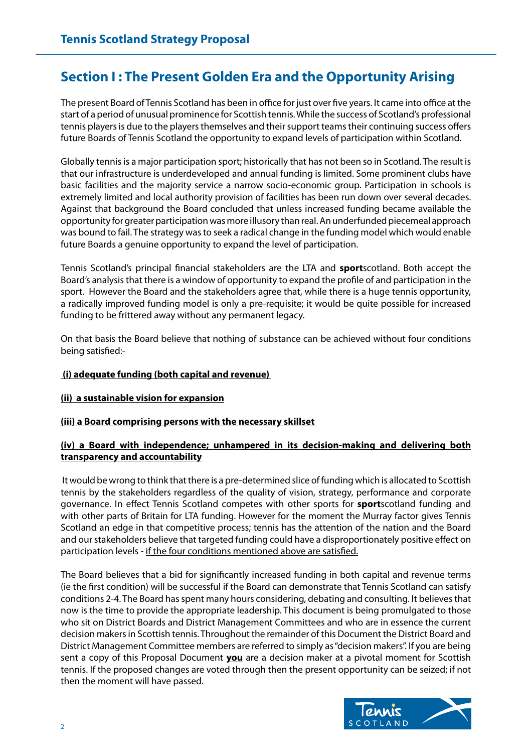# **Section I : The Present Golden Era and the Opportunity Arising**

The present Board of Tennis Scotland has been in office for just over five years. It came into office at the start of a period of unusual prominence for Scottish tennis. While the success of Scotland's professional tennis players is due to the players themselves and their support teams their continuing success offers future Boards of Tennis Scotland the opportunity to expand levels of participation within Scotland.

Globally tennis is a major participation sport; historically that has not been so in Scotland. The result is that our infrastructure is underdeveloped and annual funding is limited. Some prominent clubs have basic facilities and the majority service a narrow socio-economic group. Participation in schools is extremely limited and local authority provision of facilities has been run down over several decades. Against that background the Board concluded that unless increased funding became available the opportunity for greater participation was more illusory than real. An underfunded piecemeal approach was bound to fail. The strategy was to seek a radical change in the funding model which would enable future Boards a genuine opportunity to expand the level of participation.

Tennis Scotland's principal financial stakeholders are the LTA and **sport**scotland. Both accept the Board's analysis that there is a window of opportunity to expand the profile of and participation in the sport. However the Board and the stakeholders agree that, while there is a huge tennis opportunity, a radically improved funding model is only a pre-requisite; it would be quite possible for increased funding to be frittered away without any permanent legacy.

On that basis the Board believe that nothing of substance can be achieved without four conditions being satisfied:-

# **(i) adequate funding (both capital and revenue)**

# **(ii) a sustainable vision for expansion**

# **(iii) a Board comprising persons with the necessary skillset**

# **(iv) a Board with independence; unhampered in its decision-making and delivering both transparency and accountability**

 It would be wrong to think that there is a pre-determined slice of funding which is allocated to Scottish tennis by the stakeholders regardless of the quality of vision, strategy, performance and corporate governance. In effect Tennis Scotland competes with other sports for **sport**scotland funding and with other parts of Britain for LTA funding. However for the moment the Murray factor gives Tennis Scotland an edge in that competitive process; tennis has the attention of the nation and the Board and our stakeholders believe that targeted funding could have a disproportionately positive effect on participation levels - if the four conditions mentioned above are satisfied.

The Board believes that a bid for significantly increased funding in both capital and revenue terms (ie the first condition) will be successful if the Board can demonstrate that Tennis Scotland can satisfy conditions 2-4. The Board has spent many hours considering, debating and consulting. It believes that now is the time to provide the appropriate leadership. This document is being promulgated to those who sit on District Boards and District Management Committees and who are in essence the current decision makers in Scottish tennis. Throughout the remainder of this Document the District Board and District Management Committee members are referred to simply as "decision makers". If you are being sent a copy of this Proposal Document **you** are a decision maker at a pivotal moment for Scottish tennis. If the proposed changes are voted through then the present opportunity can be seized; if not then the moment will have passed.

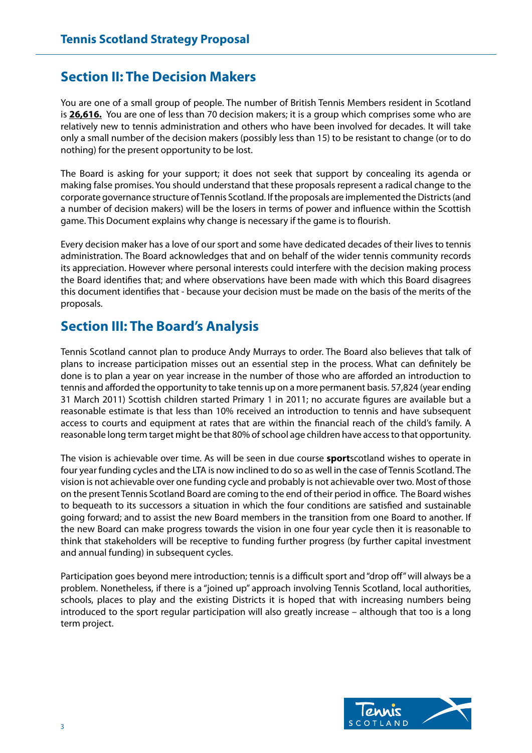# **Section II: The Decision Makers**

You are one of a small group of people. The number of British Tennis Members resident in Scotland is **26,616.** You are one of less than 70 decision makers; it is a group which comprises some who are relatively new to tennis administration and others who have been involved for decades. It will take only a small number of the decision makers (possibly less than 15) to be resistant to change (or to do nothing) for the present opportunity to be lost.

The Board is asking for your support; it does not seek that support by concealing its agenda or making false promises. You should understand that these proposals represent a radical change to the corporate governance structure of Tennis Scotland. If the proposals are implemented the Districts (and a number of decision makers) will be the losers in terms of power and influence within the Scottish game. This Document explains why change is necessary if the game is to flourish.

Every decision maker has a love of our sport and some have dedicated decades of their lives to tennis administration. The Board acknowledges that and on behalf of the wider tennis community records its appreciation. However where personal interests could interfere with the decision making process the Board identifies that; and where observations have been made with which this Board disagrees this document identifies that - because your decision must be made on the basis of the merits of the proposals.

# **Section III: The Board's Analysis**

Tennis Scotland cannot plan to produce Andy Murrays to order. The Board also believes that talk of plans to increase participation misses out an essential step in the process. What can definitely be done is to plan a year on year increase in the number of those who are afforded an introduction to tennis and afforded the opportunity to take tennis up on a more permanent basis. 57,824 (year ending 31 March 2011) Scottish children started Primary 1 in 2011; no accurate figures are available but a reasonable estimate is that less than 10% received an introduction to tennis and have subsequent access to courts and equipment at rates that are within the financial reach of the child's family. A reasonable long term target might be that 80% of school age children have access to that opportunity.

The vision is achievable over time. As will be seen in due course **sport**scotland wishes to operate in four year funding cycles and the LTA is now inclined to do so as well in the case of Tennis Scotland. The vision is not achievable over one funding cycle and probably is not achievable over two. Most of those on the present Tennis Scotland Board are coming to the end of their period in office. The Board wishes to bequeath to its successors a situation in which the four conditions are satisfied and sustainable going forward; and to assist the new Board members in the transition from one Board to another. If the new Board can make progress towards the vision in one four year cycle then it is reasonable to think that stakeholders will be receptive to funding further progress (by further capital investment and annual funding) in subsequent cycles.

Participation goes beyond mere introduction; tennis is a difficult sport and "drop off" will always be a problem. Nonetheless, if there is a "joined up" approach involving Tennis Scotland, local authorities, schools, places to play and the existing Districts it is hoped that with increasing numbers being introduced to the sport regular participation will also greatly increase – although that too is a long term project.

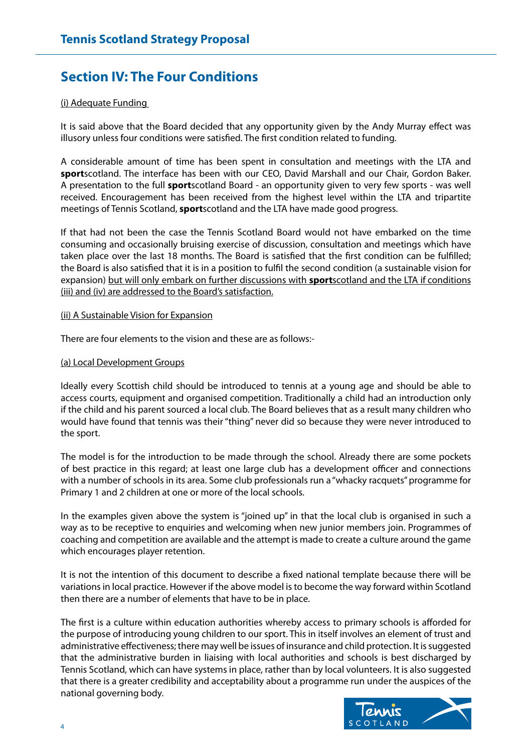# **Section IV: The Four Conditions**

## (i) Adequate Funding

It is said above that the Board decided that any opportunity given by the Andy Murray effect was illusory unless four conditions were satisfied. The first condition related to funding.

A considerable amount of time has been spent in consultation and meetings with the LTA and **sport**scotland. The interface has been with our CEO, David Marshall and our Chair, Gordon Baker. A presentation to the full **sport**scotland Board - an opportunity given to very few sports - was well received. Encouragement has been received from the highest level within the LTA and tripartite meetings of Tennis Scotland, **sport**scotland and the LTA have made good progress.

If that had not been the case the Tennis Scotland Board would not have embarked on the time consuming and occasionally bruising exercise of discussion, consultation and meetings which have taken place over the last 18 months. The Board is satisfied that the first condition can be fulfilled; the Board is also satisfied that it is in a position to fulfil the second condition (a sustainable vision for expansion) but will only embark on further discussions with **sport**scotland and the LTA if conditions (iii) and (iv) are addressed to the Board's satisfaction.

#### (ii) A Sustainable Vision for Expansion

There are four elements to the vision and these are as follows:-

#### (a) Local Development Groups

Ideally every Scottish child should be introduced to tennis at a young age and should be able to access courts, equipment and organised competition. Traditionally a child had an introduction only if the child and his parent sourced a local club. The Board believes that as a result many children who would have found that tennis was their "thing" never did so because they were never introduced to the sport.

The model is for the introduction to be made through the school. Already there are some pockets of best practice in this regard; at least one large club has a development officer and connections with a number of schools in its area. Some club professionals run a "whacky racquets" programme for Primary 1 and 2 children at one or more of the local schools.

In the examples given above the system is "joined up" in that the local club is organised in such a way as to be receptive to enquiries and welcoming when new junior members join. Programmes of coaching and competition are available and the attempt is made to create a culture around the game which encourages player retention.

It is not the intention of this document to describe a fixed national template because there will be variations in local practice. However if the above model is to become the way forward within Scotland then there are a number of elements that have to be in place.

The first is a culture within education authorities whereby access to primary schools is afforded for the purpose of introducing young children to our sport. This in itself involves an element of trust and administrative effectiveness; there may well be issues of insurance and child protection. It is suggested that the administrative burden in liaising with local authorities and schools is best discharged by Tennis Scotland, which can have systems in place, rather than by local volunteers. It is also suggested that there is a greater credibility and acceptability about a programme run under the auspices of the national governing body.

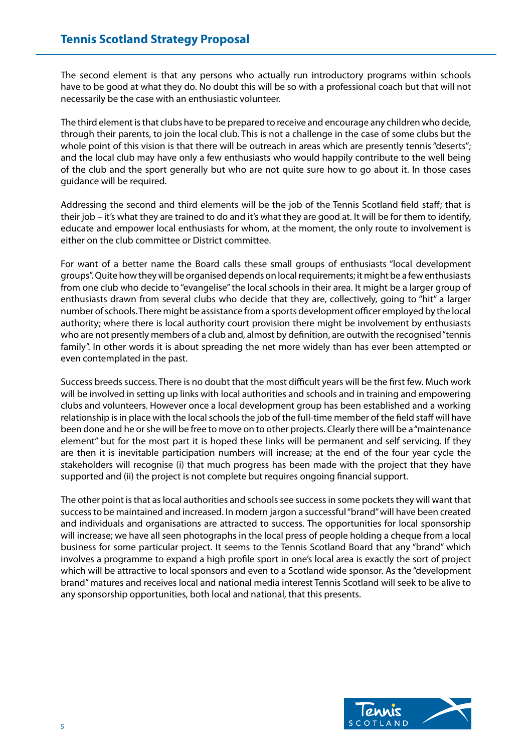The second element is that any persons who actually run introductory programs within schools have to be good at what they do. No doubt this will be so with a professional coach but that will not necessarily be the case with an enthusiastic volunteer.

The third element is that clubs have to be prepared to receive and encourage any children who decide, through their parents, to join the local club. This is not a challenge in the case of some clubs but the whole point of this vision is that there will be outreach in areas which are presently tennis "deserts"; and the local club may have only a few enthusiasts who would happily contribute to the well being of the club and the sport generally but who are not quite sure how to go about it. In those cases guidance will be required.

Addressing the second and third elements will be the job of the Tennis Scotland field staff; that is their job – it's what they are trained to do and it's what they are good at. It will be for them to identify, educate and empower local enthusiasts for whom, at the moment, the only route to involvement is either on the club committee or District committee.

For want of a better name the Board calls these small groups of enthusiasts "local development groups". Quite how they will be organised depends on local requirements; it might be a few enthusiasts from one club who decide to "evangelise" the local schools in their area. It might be a larger group of enthusiasts drawn from several clubs who decide that they are, collectively, going to "hit" a larger number of schools. There might be assistance from a sports development officer employed by the local authority; where there is local authority court provision there might be involvement by enthusiasts who are not presently members of a club and, almost by definition, are outwith the recognised "tennis family". In other words it is about spreading the net more widely than has ever been attempted or even contemplated in the past.

Success breeds success. There is no doubt that the most difficult years will be the first few. Much work will be involved in setting up links with local authorities and schools and in training and empowering clubs and volunteers. However once a local development group has been established and a working relationship is in place with the local schools the job of the full-time member of the field staff will have been done and he or she will be free to move on to other projects. Clearly there will be a "maintenance element" but for the most part it is hoped these links will be permanent and self servicing. If they are then it is inevitable participation numbers will increase; at the end of the four year cycle the stakeholders will recognise (i) that much progress has been made with the project that they have supported and (ii) the project is not complete but requires ongoing financial support.

The other point is that as local authorities and schools see success in some pockets they will want that success to be maintained and increased. In modern jargon a successful "brand" will have been created and individuals and organisations are attracted to success. The opportunities for local sponsorship will increase; we have all seen photographs in the local press of people holding a cheque from a local business for some particular project. It seems to the Tennis Scotland Board that any "brand" which involves a programme to expand a high profile sport in one's local area is exactly the sort of project which will be attractive to local sponsors and even to a Scotland wide sponsor. As the "development brand" matures and receives local and national media interest Tennis Scotland will seek to be alive to any sponsorship opportunities, both local and national, that this presents.

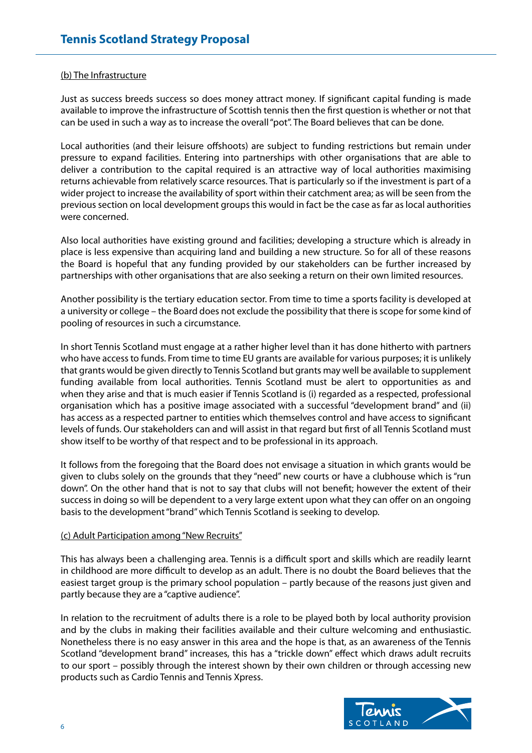#### (b) The Infrastructure

Just as success breeds success so does money attract money. If significant capital funding is made available to improve the infrastructure of Scottish tennis then the first question is whether or not that can be used in such a way as to increase the overall "pot". The Board believes that can be done.

Local authorities (and their leisure offshoots) are subject to funding restrictions but remain under pressure to expand facilities. Entering into partnerships with other organisations that are able to deliver a contribution to the capital required is an attractive way of local authorities maximising returns achievable from relatively scarce resources. That is particularly so if the investment is part of a wider project to increase the availability of sport within their catchment area; as will be seen from the previous section on local development groups this would in fact be the case as far as local authorities were concerned.

Also local authorities have existing ground and facilities; developing a structure which is already in place is less expensive than acquiring land and building a new structure. So for all of these reasons the Board is hopeful that any funding provided by our stakeholders can be further increased by partnerships with other organisations that are also seeking a return on their own limited resources.

Another possibility is the tertiary education sector. From time to time a sports facility is developed at a university or college – the Board does not exclude the possibility that there is scope for some kind of pooling of resources in such a circumstance.

In short Tennis Scotland must engage at a rather higher level than it has done hitherto with partners who have access to funds. From time to time EU grants are available for various purposes; it is unlikely that grants would be given directly to Tennis Scotland but grants may well be available to supplement funding available from local authorities. Tennis Scotland must be alert to opportunities as and when they arise and that is much easier if Tennis Scotland is (i) regarded as a respected, professional organisation which has a positive image associated with a successful "development brand" and (ii) has access as a respected partner to entities which themselves control and have access to significant levels of funds. Our stakeholders can and will assist in that regard but first of all Tennis Scotland must show itself to be worthy of that respect and to be professional in its approach.

It follows from the foregoing that the Board does not envisage a situation in which grants would be given to clubs solely on the grounds that they "need" new courts or have a clubhouse which is "run down". On the other hand that is not to say that clubs will not benefit; however the extent of their success in doing so will be dependent to a very large extent upon what they can offer on an ongoing basis to the development "brand" which Tennis Scotland is seeking to develop.

#### (c) Adult Participation among "New Recruits"

This has always been a challenging area. Tennis is a difficult sport and skills which are readily learnt in childhood are more difficult to develop as an adult. There is no doubt the Board believes that the easiest target group is the primary school population – partly because of the reasons just given and partly because they are a "captive audience".

In relation to the recruitment of adults there is a role to be played both by local authority provision and by the clubs in making their facilities available and their culture welcoming and enthusiastic. Nonetheless there is no easy answer in this area and the hope is that, as an awareness of the Tennis Scotland "development brand" increases, this has a "trickle down" effect which draws adult recruits to our sport – possibly through the interest shown by their own children or through accessing new products such as Cardio Tennis and Tennis Xpress.

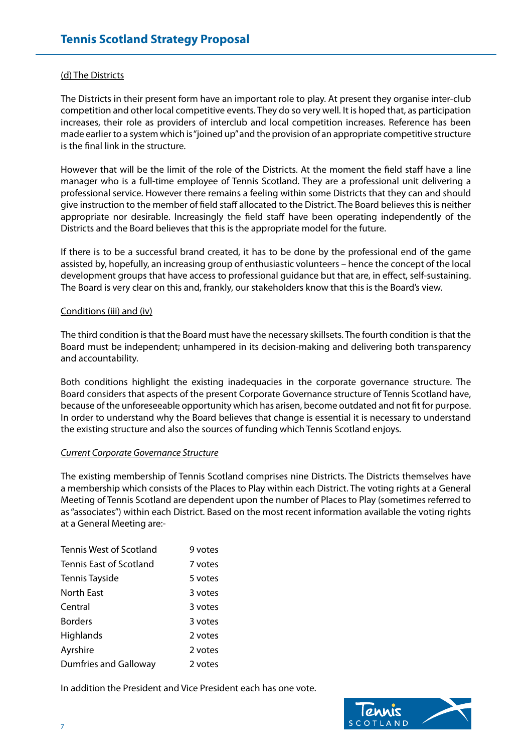#### (d) The Districts

The Districts in their present form have an important role to play. At present they organise inter-club competition and other local competitive events. They do so very well. It is hoped that, as participation increases, their role as providers of interclub and local competition increases. Reference has been made earlier to a system which is "joined up" and the provision of an appropriate competitive structure is the final link in the structure.

However that will be the limit of the role of the Districts. At the moment the field staff have a line manager who is a full-time employee of Tennis Scotland. They are a professional unit delivering a professional service. However there remains a feeling within some Districts that they can and should give instruction to the member of field staff allocated to the District. The Board believes this is neither appropriate nor desirable. Increasingly the field staff have been operating independently of the Districts and the Board believes that this is the appropriate model for the future.

If there is to be a successful brand created, it has to be done by the professional end of the game assisted by, hopefully, an increasing group of enthusiastic volunteers – hence the concept of the local development groups that have access to professional guidance but that are, in effect, self-sustaining. The Board is very clear on this and, frankly, our stakeholders know that this is the Board's view.

#### Conditions (iii) and (iv)

The third condition is that the Board must have the necessary skillsets. The fourth condition is that the Board must be independent; unhampered in its decision-making and delivering both transparency and accountability.

Both conditions highlight the existing inadequacies in the corporate governance structure. The Board considers that aspects of the present Corporate Governance structure of Tennis Scotland have, because of the unforeseeable opportunity which has arisen, become outdated and not fit for purpose. In order to understand why the Board believes that change is essential it is necessary to understand the existing structure and also the sources of funding which Tennis Scotland enjoys.

#### *Current Corporate Governance Structure*

The existing membership of Tennis Scotland comprises nine Districts. The Districts themselves have a membership which consists of the Places to Play within each District. The voting rights at a General Meeting of Tennis Scotland are dependent upon the number of Places to Play (sometimes referred to as "associates") within each District. Based on the most recent information available the voting rights at a General Meeting are:-

| <b>Tennis West of Scotland</b> | 9 votes |
|--------------------------------|---------|
| Tennis East of Scotland        | 7 votes |
| Tennis Tayside                 | 5 votes |
| <b>North East</b>              | 3 votes |
| Central                        | 3 votes |
| <b>Borders</b>                 | 3 votes |
| Highlands                      | 2 votes |
| Ayrshire                       | 2 votes |
| <b>Dumfries and Galloway</b>   | 2 votes |

In addition the President and Vice President each has one vote.

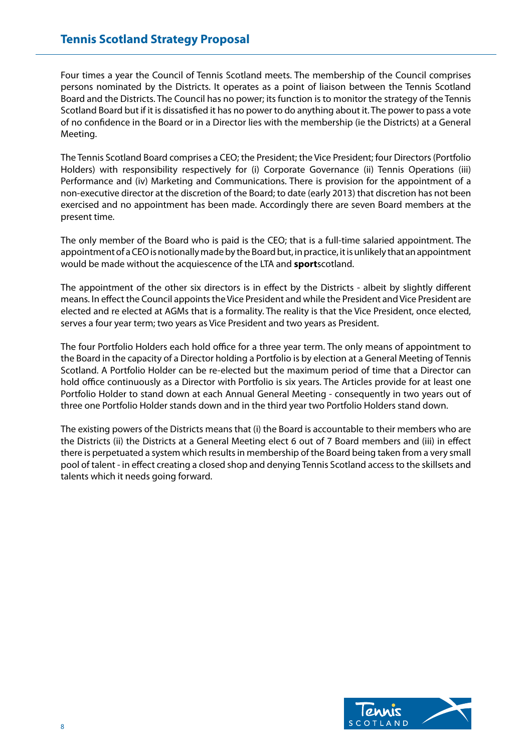Four times a year the Council of Tennis Scotland meets. The membership of the Council comprises persons nominated by the Districts. It operates as a point of liaison between the Tennis Scotland Board and the Districts. The Council has no power; its function is to monitor the strategy of the Tennis Scotland Board but if it is dissatisfied it has no power to do anything about it. The power to pass a vote of no confidence in the Board or in a Director lies with the membership (ie the Districts) at a General Meeting.

The Tennis Scotland Board comprises a CEO; the President; the Vice President; four Directors (Portfolio Holders) with responsibility respectively for (i) Corporate Governance (ii) Tennis Operations (iii) Performance and (iv) Marketing and Communications. There is provision for the appointment of a non-executive director at the discretion of the Board; to date (early 2013) that discretion has not been exercised and no appointment has been made. Accordingly there are seven Board members at the present time.

The only member of the Board who is paid is the CEO; that is a full-time salaried appointment. The appointment of a CEO is notionally made by the Board but, in practice, it is unlikely that an appointment would be made without the acquiescence of the LTA and **sport**scotland.

The appointment of the other six directors is in effect by the Districts - albeit by slightly different means. In effect the Council appoints the Vice President and while the President and Vice President are elected and re elected at AGMs that is a formality. The reality is that the Vice President, once elected, serves a four year term; two years as Vice President and two years as President.

The four Portfolio Holders each hold office for a three year term. The only means of appointment to the Board in the capacity of a Director holding a Portfolio is by election at a General Meeting of Tennis Scotland. A Portfolio Holder can be re-elected but the maximum period of time that a Director can hold office continuously as a Director with Portfolio is six years. The Articles provide for at least one Portfolio Holder to stand down at each Annual General Meeting - consequently in two years out of three one Portfolio Holder stands down and in the third year two Portfolio Holders stand down.

The existing powers of the Districts means that (i) the Board is accountable to their members who are the Districts (ii) the Districts at a General Meeting elect 6 out of 7 Board members and (iii) in effect there is perpetuated a system which results in membership of the Board being taken from a very small pool of talent - in effect creating a closed shop and denying Tennis Scotland access to the skillsets and talents which it needs going forward.

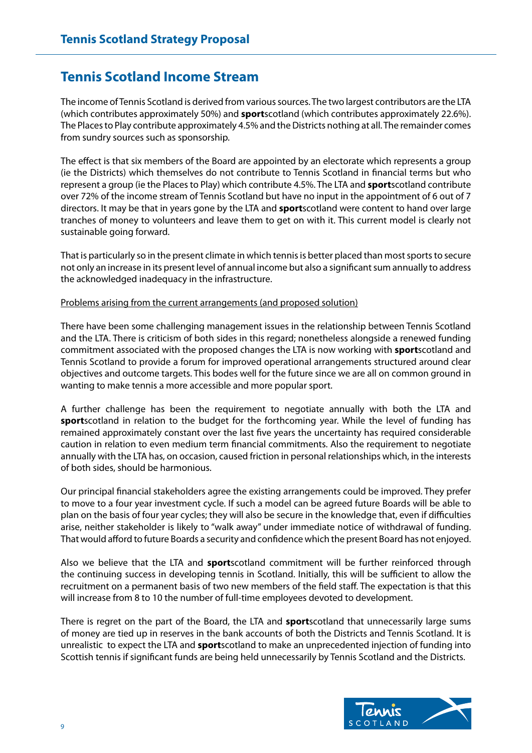# **Tennis Scotland Income Stream**

The income of Tennis Scotland is derived from various sources. The two largest contributors are the LTA (which contributes approximately 50%) and **sport**scotland (which contributes approximately 22.6%). The Places to Play contribute approximately 4.5% and the Districts nothing at all. The remainder comes from sundry sources such as sponsorship.

The effect is that six members of the Board are appointed by an electorate which represents a group (ie the Districts) which themselves do not contribute to Tennis Scotland in financial terms but who represent a group (ie the Places to Play) which contribute 4.5%. The LTA and **sport**scotland contribute over 72% of the income stream of Tennis Scotland but have no input in the appointment of 6 out of 7 directors. It may be that in years gone by the LTA and **sport**scotland were content to hand over large tranches of money to volunteers and leave them to get on with it. This current model is clearly not sustainable going forward.

That is particularly so in the present climate in which tennis is better placed than most sports to secure not only an increase in its present level of annual income but also a significant sum annually to address the acknowledged inadequacy in the infrastructure.

#### Problems arising from the current arrangements (and proposed solution)

There have been some challenging management issues in the relationship between Tennis Scotland and the LTA. There is criticism of both sides in this regard; nonetheless alongside a renewed funding commitment associated with the proposed changes the LTA is now working with **sport**scotland and Tennis Scotland to provide a forum for improved operational arrangements structured around clear objectives and outcome targets. This bodes well for the future since we are all on common ground in wanting to make tennis a more accessible and more popular sport.

A further challenge has been the requirement to negotiate annually with both the LTA and **sport**scotland in relation to the budget for the forthcoming year. While the level of funding has remained approximately constant over the last five years the uncertainty has required considerable caution in relation to even medium term financial commitments. Also the requirement to negotiate annually with the LTA has, on occasion, caused friction in personal relationships which, in the interests of both sides, should be harmonious.

Our principal financial stakeholders agree the existing arrangements could be improved. They prefer to move to a four year investment cycle. If such a model can be agreed future Boards will be able to plan on the basis of four year cycles; they will also be secure in the knowledge that, even if difficulties arise, neither stakeholder is likely to "walk away" under immediate notice of withdrawal of funding. That would afford to future Boards a security and confidence which the present Board has not enjoyed.

Also we believe that the LTA and **sport**scotland commitment will be further reinforced through the continuing success in developing tennis in Scotland. Initially, this will be sufficient to allow the recruitment on a permanent basis of two new members of the field staff. The expectation is that this will increase from 8 to 10 the number of full-time employees devoted to development.

There is regret on the part of the Board, the LTA and **sport**scotland that unnecessarily large sums of money are tied up in reserves in the bank accounts of both the Districts and Tennis Scotland. It is unrealistic to expect the LTA and **sport**scotland to make an unprecedented injection of funding into Scottish tennis if significant funds are being held unnecessarily by Tennis Scotland and the Districts.

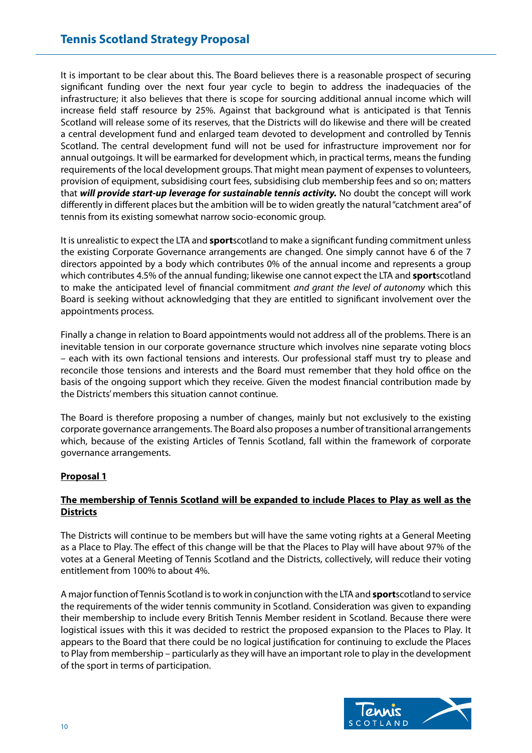It is important to be clear about this. The Board believes there is a reasonable prospect of securing significant funding over the next four year cycle to begin to address the inadequacies of the infrastructure; it also believes that there is scope for sourcing additional annual income which will increase field staff resource by 25%. Against that background what is anticipated is that Tennis Scotland will release some of its reserves, that the Districts will do likewise and there will be created a central development fund and enlarged team devoted to development and controlled by Tennis Scotland. The central development fund will not be used for infrastructure improvement nor for annual outgoings. It will be earmarked for development which, in practical terms, means the funding requirements of the local development groups. That might mean payment of expenses to volunteers, provision of equipment, subsidising court fees, subsidising club membership fees and so on; matters that *will provide start-up leverage for sustainable tennis activity.* No doubt the concept will work differently in different places but the ambition will be to widen greatly the natural "catchment area" of tennis from its existing somewhat narrow socio-economic group.

It is unrealistic to expect the LTA and **sport**scotland to make a significant funding commitment unless the existing Corporate Governance arrangements are changed. One simply cannot have 6 of the 7 directors appointed by a body which contributes 0% of the annual income and represents a group which contributes 4.5% of the annual funding; likewise one cannot expect the LTA and **sport**scotland to make the anticipated level of financial commitment *and grant the level of autonomy* which this Board is seeking without acknowledging that they are entitled to significant involvement over the appointments process.

Finally a change in relation to Board appointments would not address all of the problems. There is an inevitable tension in our corporate governance structure which involves nine separate voting blocs – each with its own factional tensions and interests. Our professional staff must try to please and reconcile those tensions and interests and the Board must remember that they hold office on the basis of the ongoing support which they receive. Given the modest financial contribution made by the Districts' members this situation cannot continue.

The Board is therefore proposing a number of changes, mainly but not exclusively to the existing corporate governance arrangements. The Board also proposes a number of transitional arrangements which, because of the existing Articles of Tennis Scotland, fall within the framework of corporate governance arrangements.

# **Proposal 1**

# **The membership of Tennis Scotland will be expanded to include Places to Play as well as the Districts**

The Districts will continue to be members but will have the same voting rights at a General Meeting as a Place to Play. The effect of this change will be that the Places to Play will have about 97% of the votes at a General Meeting of Tennis Scotland and the Districts, collectively, will reduce their voting entitlement from 100% to about 4%.

A major function of Tennis Scotland is to work in conjunction with the LTA and **sport**scotland to service the requirements of the wider tennis community in Scotland. Consideration was given to expanding their membership to include every British Tennis Member resident in Scotland. Because there were logistical issues with this it was decided to restrict the proposed expansion to the Places to Play. It appears to the Board that there could be no logical justification for continuing to exclude the Places to Play from membership – particularly as they will have an important role to play in the development of the sport in terms of participation.

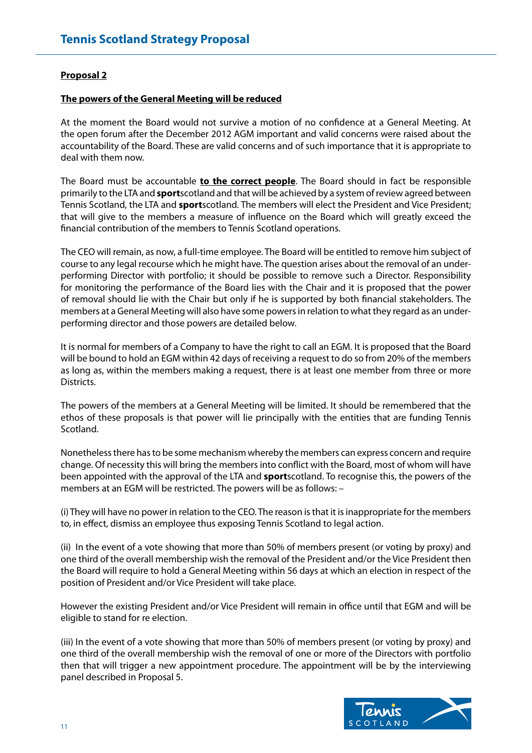# **Proposal 2**

#### **The powers of the General Meeting will be reduced**

At the moment the Board would not survive a motion of no confidence at a General Meeting. At the open forum after the December 2012 AGM important and valid concerns were raised about the accountability of the Board. These are valid concerns and of such importance that it is appropriate to deal with them now.

The Board must be accountable **to the correct people**. The Board should in fact be responsible primarily to the LTA and **sport**scotlandand that will be achieved by a system of review agreed between Tennis Scotland, the LTA and **sport**scotland*.* The members will elect the President and Vice President; that will give to the members a measure of influence on the Board which will greatly exceed the financial contribution of the members to Tennis Scotland operations.

The CEO will remain, as now, a full-time employee. The Board will be entitled to remove him subject of course to any legal recourse which he might have. The question arises about the removal of an underperforming Director with portfolio; it should be possible to remove such a Director. Responsibility for monitoring the performance of the Board lies with the Chair and it is proposed that the power of removal should lie with the Chair but only if he is supported by both financial stakeholders. The members at a General Meeting will also have some powers in relation to what they regard as an underperforming director and those powers are detailed below.

It is normal for members of a Company to have the right to call an EGM. It is proposed that the Board will be bound to hold an EGM within 42 days of receiving a request to do so from 20% of the members as long as, within the members making a request, there is at least one member from three or more Districts.

The powers of the members at a General Meeting will be limited. It should be remembered that the ethos of these proposals is that power will lie principally with the entities that are funding Tennis Scotland.

Nonetheless there has to be some mechanism whereby the members can express concern and require change. Of necessity this will bring the members into conflict with the Board, most of whom will have been appointed with the approval of the LTA and **sport**scotland. To recognise this, the powers of the members at an EGM will be restricted. The powers will be as follows: –

(i) They will have no power in relation to the CEO. The reason is that it is inappropriate for the members to, in effect, dismiss an employee thus exposing Tennis Scotland to legal action.

(ii) In the event of a vote showing that more than 50% of members present (or voting by proxy) and one third of the overall membership wish the removal of the President and/or the Vice President then the Board will require to hold a General Meeting within 56 days at which an election in respect of the position of President and/or Vice President will take place.

However the existing President and/or Vice President will remain in office until that EGM and will be eligible to stand for re election.

(iii) In the event of a vote showing that more than 50% of members present (or voting by proxy) and one third of the overall membership wish the removal of one or more of the Directors with portfolio then that will trigger a new appointment procedure. The appointment will be by the interviewing panel described in Proposal 5.

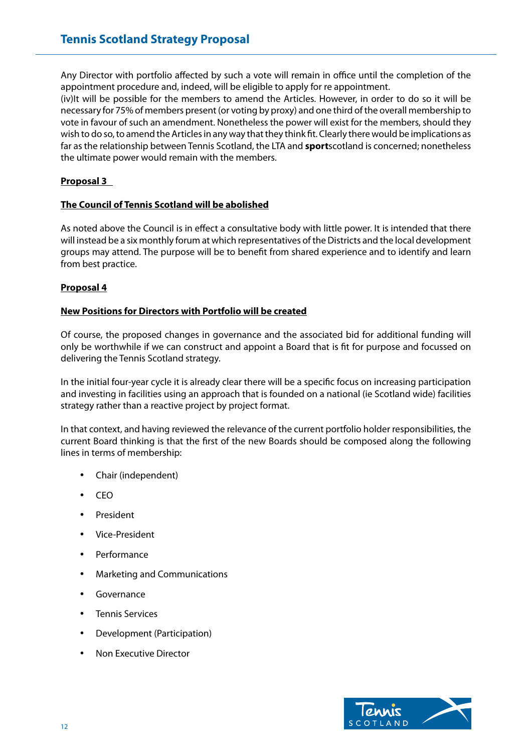Any Director with portfolio affected by such a vote will remain in office until the completion of the appointment procedure and, indeed, will be eligible to apply for re appointment.

(iv)It will be possible for the members to amend the Articles. However, in order to do so it will be necessary for 75% of members present (or voting by proxy) and one third of the overall membership to vote in favour of such an amendment. Nonetheless the power will exist for the members, should they wish to do so, to amend the Articles in any way that they think fit. Clearly there would be implications as far as the relationship between Tennis Scotland, the LTA and **sport**scotland is concerned; nonetheless the ultimate power would remain with the members.

# **Proposal 3**

# **The Council of Tennis Scotland will be abolished**

As noted above the Council is in effect a consultative body with little power. It is intended that there will instead be a six monthly forum at which representatives of the Districts and the local development groups may attend. The purpose will be to benefit from shared experience and to identify and learn from best practice.

# **Proposal 4**

#### **New Positions for Directors with Portfolio will be created**

Of course, the proposed changes in governance and the associated bid for additional funding will only be worthwhile if we can construct and appoint a Board that is fit for purpose and focussed on delivering the Tennis Scotland strategy.

In the initial four-year cycle it is already clear there will be a specific focus on increasing participation and investing in facilities using an approach that is founded on a national (ie Scotland wide) facilities strategy rather than a reactive project by project format.

In that context, and having reviewed the relevance of the current portfolio holder responsibilities, the current Board thinking is that the first of the new Boards should be composed along the following lines in terms of membership:

- • Chair (independent)
- • CEO
- **President**
- Vice-President
- **Performance**
- **Marketing and Communications**
- **Governance**
- **Tennis Services**
- • Development (Participation)
- **Non Executive Director**

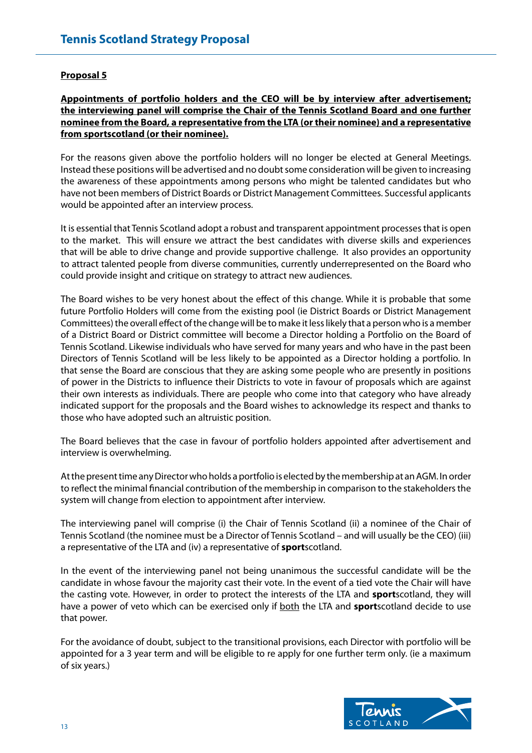## **Proposal 5**

# **Appointments of portfolio holders and the CEO will be by interview after advertisement; the interviewing panel will comprise the Chair of the Tennis Scotland Board and one further nominee from the Board, a representative from the LTA (or their nominee) and a representative from sportscotland (or their nominee).**

For the reasons given above the portfolio holders will no longer be elected at General Meetings. Instead these positions will be advertised and no doubt some consideration will be given to increasing the awareness of these appointments among persons who might be talented candidates but who have not been members of District Boards or District Management Committees. Successful applicants would be appointed after an interview process.

It is essential that Tennis Scotland adopt a robust and transparent appointment processes that is open to the market. This will ensure we attract the best candidates with diverse skills and experiences that will be able to drive change and provide supportive challenge. It also provides an opportunity to attract talented people from diverse communities, currently underrepresented on the Board who could provide insight and critique on strategy to attract new audiences.

The Board wishes to be very honest about the effect of this change. While it is probable that some future Portfolio Holders will come from the existing pool (ie District Boards or District Management Committees) the overall effect of the change will be to make it less likely that a person who is a member of a District Board or District committee will become a Director holding a Portfolio on the Board of Tennis Scotland. Likewise individuals who have served for many years and who have in the past been Directors of Tennis Scotland will be less likely to be appointed as a Director holding a portfolio. In that sense the Board are conscious that they are asking some people who are presently in positions of power in the Districts to influence their Districts to vote in favour of proposals which are against their own interests as individuals. There are people who come into that category who have already indicated support for the proposals and the Board wishes to acknowledge its respect and thanks to those who have adopted such an altruistic position.

The Board believes that the case in favour of portfolio holders appointed after advertisement and interview is overwhelming.

At the present time any Director who holds a portfolio is elected by the membership at an AGM. In order to reflect the minimal financial contribution of the membership in comparison to the stakeholders the system will change from election to appointment after interview.

The interviewing panel will comprise (i) the Chair of Tennis Scotland (ii) a nominee of the Chair of Tennis Scotland (the nominee must be a Director of Tennis Scotland – and will usually be the CEO) (iii) a representative of the LTA and (iv) a representative of **sport**scotland.

In the event of the interviewing panel not being unanimous the successful candidate will be the candidate in whose favour the majority cast their vote. In the event of a tied vote the Chair will have the casting vote. However, in order to protect the interests of the LTA and **sport**scotland, they will have a power of veto which can be exercised only if both the LTA and **sport**scotland decide to use that power.

For the avoidance of doubt, subject to the transitional provisions, each Director with portfolio will be appointed for a 3 year term and will be eligible to re apply for one further term only. (ie a maximum of six years.)

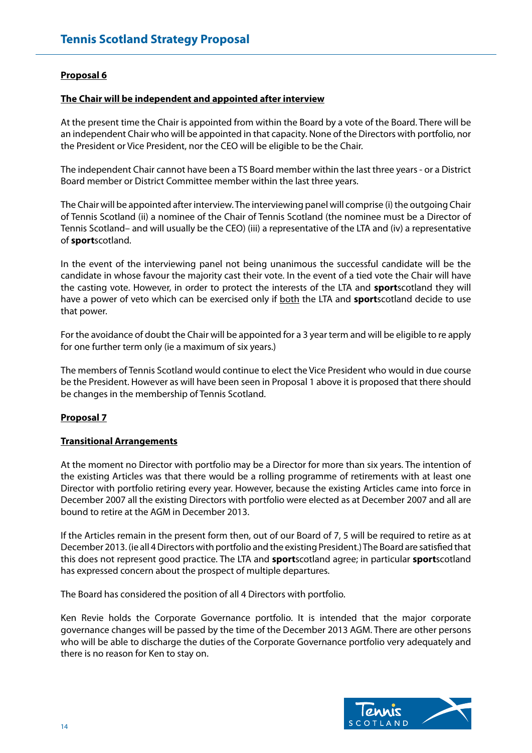# **Proposal 6**

#### **The Chair will be independent and appointed after interview**

At the present time the Chair is appointed from within the Board by a vote of the Board. There will be an independent Chair who will be appointed in that capacity. None of the Directors with portfolio, nor the President or Vice President, nor the CEO will be eligible to be the Chair.

The independent Chair cannot have been a TS Board member within the last three years - or a District Board member or District Committee member within the last three years.

The Chair will be appointed after interview. The interviewing panel will comprise (i) the outgoing Chair of Tennis Scotland (ii) a nominee of the Chair of Tennis Scotland (the nominee must be a Director of Tennis Scotland– and will usually be the CEO) (iii) a representative of the LTA and (iv) a representative of **sport**scotland.

In the event of the interviewing panel not being unanimous the successful candidate will be the candidate in whose favour the majority cast their vote. In the event of a tied vote the Chair will have the casting vote. However, in order to protect the interests of the LTA and **sport**scotland they will have a power of veto which can be exercised only if both the LTA and **sport**scotland decide to use that power.

For the avoidance of doubt the Chair will be appointed for a 3 year term and will be eligible to re apply for one further term only (ie a maximum of six years.)

The members of Tennis Scotland would continue to elect the Vice President who would in due course be the President. However as will have been seen in Proposal 1 above it is proposed that there should be changes in the membership of Tennis Scotland.

# **Proposal 7**

#### **Transitional Arrangements**

At the moment no Director with portfolio may be a Director for more than six years. The intention of the existing Articles was that there would be a rolling programme of retirements with at least one Director with portfolio retiring every year. However, because the existing Articles came into force in December 2007 all the existing Directors with portfolio were elected as at December 2007 and all are bound to retire at the AGM in December 2013.

If the Articles remain in the present form then, out of our Board of 7, 5 will be required to retire as at December 2013. (ie all 4 Directors with portfolio and the existing President.) The Board are satisfied that this does not represent good practice. The LTA and **sport**scotland agree; in particular **sport**scotland has expressed concern about the prospect of multiple departures.

The Board has considered the position of all 4 Directors with portfolio.

Ken Revie holds the Corporate Governance portfolio. It is intended that the major corporate governance changes will be passed by the time of the December 2013 AGM. There are other persons who will be able to discharge the duties of the Corporate Governance portfolio very adequately and there is no reason for Ken to stay on.

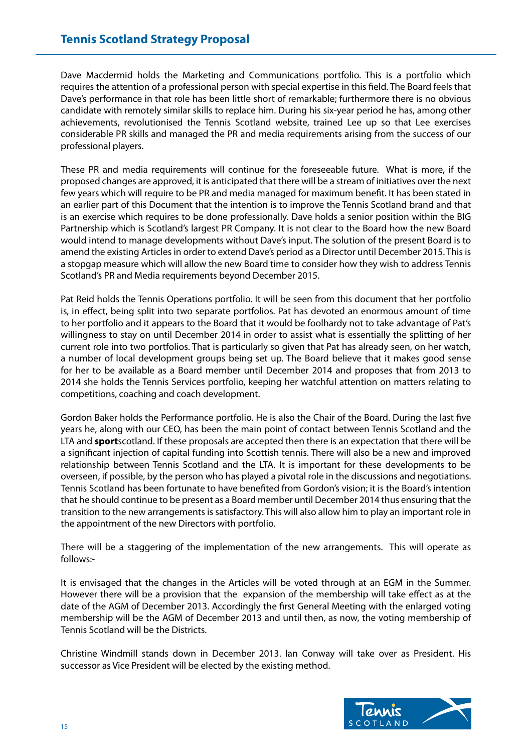Dave Macdermid holds the Marketing and Communications portfolio. This is a portfolio which requires the attention of a professional person with special expertise in this field. The Board feels that Dave's performance in that role has been little short of remarkable; furthermore there is no obvious candidate with remotely similar skills to replace him. During his six-year period he has, among other achievements, revolutionised the Tennis Scotland website, trained Lee up so that Lee exercises considerable PR skills and managed the PR and media requirements arising from the success of our professional players.

These PR and media requirements will continue for the foreseeable future. What is more, if the proposed changes are approved, it is anticipated that there will be a stream of initiatives over the next few years which will require to be PR and media managed for maximum benefit. It has been stated in an earlier part of this Document that the intention is to improve the Tennis Scotland brand and that is an exercise which requires to be done professionally. Dave holds a senior position within the BIG Partnership which is Scotland's largest PR Company. It is not clear to the Board how the new Board would intend to manage developments without Dave's input. The solution of the present Board is to amend the existing Articles in order to extend Dave's period as a Director until December 2015. This is a stopgap measure which will allow the new Board time to consider how they wish to address Tennis Scotland's PR and Media requirements beyond December 2015.

Pat Reid holds the Tennis Operations portfolio. It will be seen from this document that her portfolio is, in effect, being split into two separate portfolios. Pat has devoted an enormous amount of time to her portfolio and it appears to the Board that it would be foolhardy not to take advantage of Pat's willingness to stay on until December 2014 in order to assist what is essentially the splitting of her current role into two portfolios. That is particularly so given that Pat has already seen, on her watch, a number of local development groups being set up. The Board believe that it makes good sense for her to be available as a Board member until December 2014 and proposes that from 2013 to 2014 she holds the Tennis Services portfolio, keeping her watchful attention on matters relating to competitions, coaching and coach development.

Gordon Baker holds the Performance portfolio. He is also the Chair of the Board. During the last five years he, along with our CEO, has been the main point of contact between Tennis Scotland and the LTA and **sport**scotland. If these proposals are accepted then there is an expectation that there will be a significant injection of capital funding into Scottish tennis. There will also be a new and improved relationship between Tennis Scotland and the LTA. It is important for these developments to be overseen, if possible, by the person who has played a pivotal role in the discussions and negotiations. Tennis Scotland has been fortunate to have benefited from Gordon's vision; it is the Board's intention that he should continue to be present as a Board member until December 2014 thus ensuring that the transition to the new arrangements is satisfactory. This will also allow him to play an important role in the appointment of the new Directors with portfolio.

There will be a staggering of the implementation of the new arrangements. This will operate as follows:-

It is envisaged that the changes in the Articles will be voted through at an EGM in the Summer. However there will be a provision that the expansion of the membership will take effect as at the date of the AGM of December 2013. Accordingly the first General Meeting with the enlarged voting membership will be the AGM of December 2013 and until then, as now, the voting membership of Tennis Scotland will be the Districts.

Christine Windmill stands down in December 2013. Ian Conway will take over as President. His successor as Vice President will be elected by the existing method.

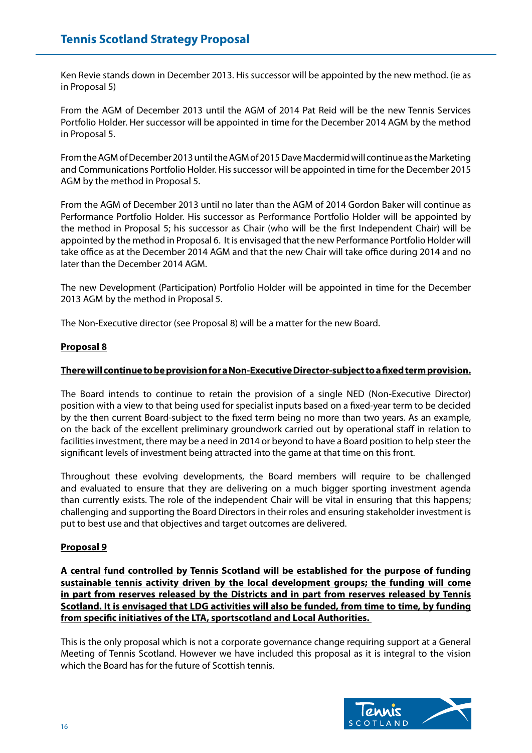Ken Revie stands down in December 2013. His successor will be appointed by the new method. (ie as in Proposal 5)

From the AGM of December 2013 until the AGM of 2014 Pat Reid will be the new Tennis Services Portfolio Holder. Her successor will be appointed in time for the December 2014 AGM by the method in Proposal 5.

From the AGM of December 2013 until the AGM of 2015 Dave Macdermid will continue as the Marketing and Communications Portfolio Holder. His successor will be appointed in time for the December 2015 AGM by the method in Proposal 5.

From the AGM of December 2013 until no later than the AGM of 2014 Gordon Baker will continue as Performance Portfolio Holder. His successor as Performance Portfolio Holder will be appointed by the method in Proposal 5; his successor as Chair (who will be the first Independent Chair) will be appointed by the method in Proposal 6. It is envisaged that the new Performance Portfolio Holder will take office as at the December 2014 AGM and that the new Chair will take office during 2014 and no later than the December 2014 AGM.

The new Development (Participation) Portfolio Holder will be appointed in time for the December 2013 AGM by the method in Proposal 5.

The Non-Executive director (see Proposal 8) will be a matter for the new Board.

#### **Proposal 8**

#### **There will continue to be provision for a Non-Executive Director-subject to a fixed term provision.**

The Board intends to continue to retain the provision of a single NED (Non-Executive Director) position with a view to that being used for specialist inputs based on a fixed-year term to be decided by the then current Board-subject to the fixed term being no more than two years. As an example, on the back of the excellent preliminary groundwork carried out by operational staff in relation to facilities investment, there may be a need in 2014 or beyond to have a Board position to help steer the significant levels of investment being attracted into the game at that time on this front.

Throughout these evolving developments, the Board members will require to be challenged and evaluated to ensure that they are delivering on a much bigger sporting investment agenda than currently exists. The role of the independent Chair will be vital in ensuring that this happens; challenging and supporting the Board Directors in their roles and ensuring stakeholder investment is put to best use and that objectives and target outcomes are delivered.

# **Proposal 9**

**A central fund controlled by Tennis Scotland will be established for the purpose of funding sustainable tennis activity driven by the local development groups; the funding will come in part from reserves released by the Districts and in part from reserves released by Tennis Scotland. It is envisaged that LDG activities will also be funded, from time to time, by funding from specific initiatives of the LTA, sportscotland and Local Authorities.** 

This is the only proposal which is not a corporate governance change requiring support at a General Meeting of Tennis Scotland. However we have included this proposal as it is integral to the vision which the Board has for the future of Scottish tennis.

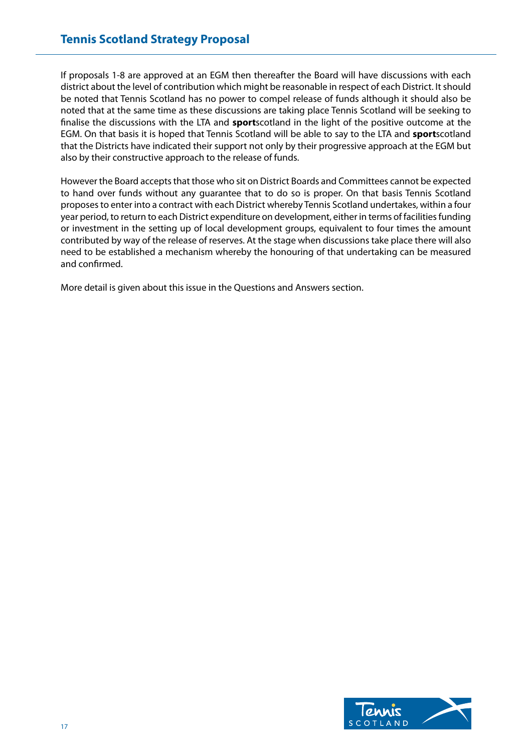If proposals 1-8 are approved at an EGM then thereafter the Board will have discussions with each district about the level of contribution which might be reasonable in respect of each District. It should be noted that Tennis Scotland has no power to compel release of funds although it should also be noted that at the same time as these discussions are taking place Tennis Scotland will be seeking to finalise the discussions with the LTA and **sport**scotland in the light of the positive outcome at the EGM. On that basis it is hoped that Tennis Scotland will be able to say to the LTA and **sport**scotland that the Districts have indicated their support not only by their progressive approach at the EGM but also by their constructive approach to the release of funds.

However the Board accepts that those who sit on District Boards and Committees cannot be expected to hand over funds without any guarantee that to do so is proper. On that basis Tennis Scotland proposes to enter into a contract with each District whereby Tennis Scotland undertakes, within a four year period, to return to each District expenditure on development, either in terms of facilities funding or investment in the setting up of local development groups, equivalent to four times the amount contributed by way of the release of reserves. At the stage when discussions take place there will also need to be established a mechanism whereby the honouring of that undertaking can be measured and confirmed.

More detail is given about this issue in the Questions and Answers section.

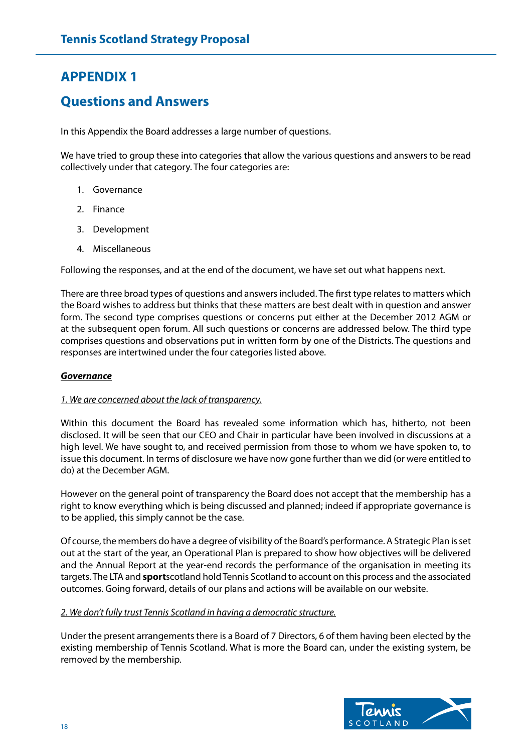# **APPENDIX 1**

# **Questions and Answers**

In this Appendix the Board addresses a large number of questions.

We have tried to group these into categories that allow the various questions and answers to be read collectively under that category. The four categories are:

- 1. Governance
- 2. Finance
- 3. Development
- 4. Miscellaneous

Following the responses, and at the end of the document, we have set out what happens next.

There are three broad types of questions and answers included. The first type relates to matters which the Board wishes to address but thinks that these matters are best dealt with in question and answer form. The second type comprises questions or concerns put either at the December 2012 AGM or at the subsequent open forum. All such questions or concerns are addressed below. The third type comprises questions and observations put in written form by one of the Districts. The questions and responses are intertwined under the four categories listed above.

#### *Governance*

#### *1. We are concerned about the lack of transparency.*

Within this document the Board has revealed some information which has, hitherto, not been disclosed. It will be seen that our CEO and Chair in particular have been involved in discussions at a high level. We have sought to, and received permission from those to whom we have spoken to, to issue this document. In terms of disclosure we have now gone further than we did (or were entitled to do) at the December AGM.

However on the general point of transparency the Board does not accept that the membership has a right to know everything which is being discussed and planned; indeed if appropriate governance is to be applied, this simply cannot be the case.

Of course, the members do have a degree of visibility of the Board's performance. A Strategic Plan is set out at the start of the year, an Operational Plan is prepared to show how objectives will be delivered and the Annual Report at the year-end records the performance of the organisation in meeting its targets. The LTA and **sport**scotland hold Tennis Scotland to account on this process and the associated outcomes. Going forward, details of our plans and actions will be available on our website.

#### *2. We don't fully trust Tennis Scotland in having a democratic structure.*

Under the present arrangements there is a Board of 7 Directors, 6 of them having been elected by the existing membership of Tennis Scotland. What is more the Board can, under the existing system, be removed by the membership.

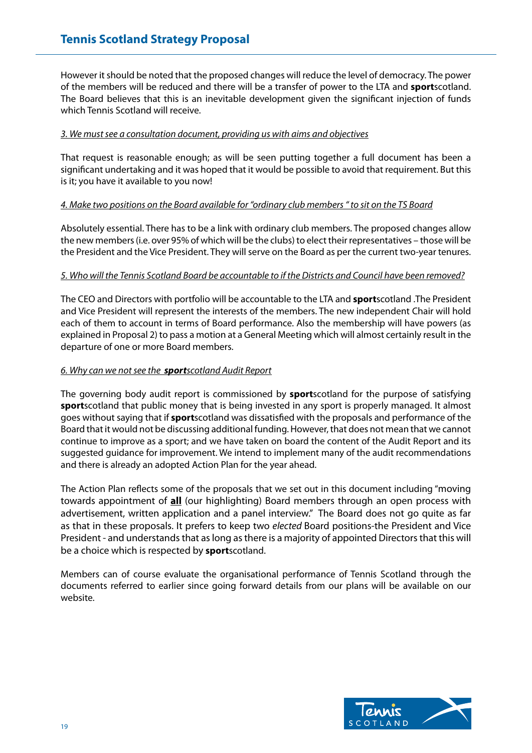However it should be noted that the proposed changes will reduce the level of democracy. The power of the members will be reduced and there will be a transfer of power to the LTA and **sport**scotland. The Board believes that this is an inevitable development given the significant injection of funds which Tennis Scotland will receive.

### *3. We must see a consultation document, providing us with aims and objectives*

That request is reasonable enough; as will be seen putting together a full document has been a significant undertaking and it was hoped that it would be possible to avoid that requirement. But this is it; you have it available to you now!

# *4. Make two positions on the Board available for "ordinary club members " to sit on the TS Board*

Absolutely essential. There has to be a link with ordinary club members. The proposed changes allow the new members (i.e. over 95% of which will be the clubs) to elect their representatives – those will be the President and the Vice President. They will serve on the Board as per the current two-year tenures.

#### *5. Who will the Tennis Scotland Board be accountable to if the Districts and Council have been removed?*

The CEO and Directors with portfolio will be accountable to the LTA and **sport**scotland .The President and Vice President will represent the interests of the members. The new independent Chair will hold each of them to account in terms of Board performance. Also the membership will have powers (as explained in Proposal 2) to pass a motion at a General Meeting which will almost certainly result in the departure of one or more Board members.

#### *6. Why can we not see the sportscotland Audit Report*

The governing body audit report is commissioned by **sport**scotland for the purpose of satisfying **sport**scotland that public money that is being invested in any sport is properly managed. It almost goes without saying that if **sport**scotland was dissatisfied with the proposals and performance of the Board that it would not be discussing additional funding. However, that does not mean that we cannot continue to improve as a sport; and we have taken on board the content of the Audit Report and its suggested guidance for improvement. We intend to implement many of the audit recommendations and there is already an adopted Action Plan for the year ahead.

The Action Plan reflects some of the proposals that we set out in this document including "moving towards appointment of **all** (our highlighting) Board members through an open process with advertisement, written application and a panel interview." The Board does not go quite as far as that in these proposals. It prefers to keep two *elected* Board positions-the President and Vice President - and understands that as long as there is a majority of appointed Directors that this will be a choice which is respected by **sport**scotland.

Members can of course evaluate the organisational performance of Tennis Scotland through the documents referred to earlier since going forward details from our plans will be available on our website.

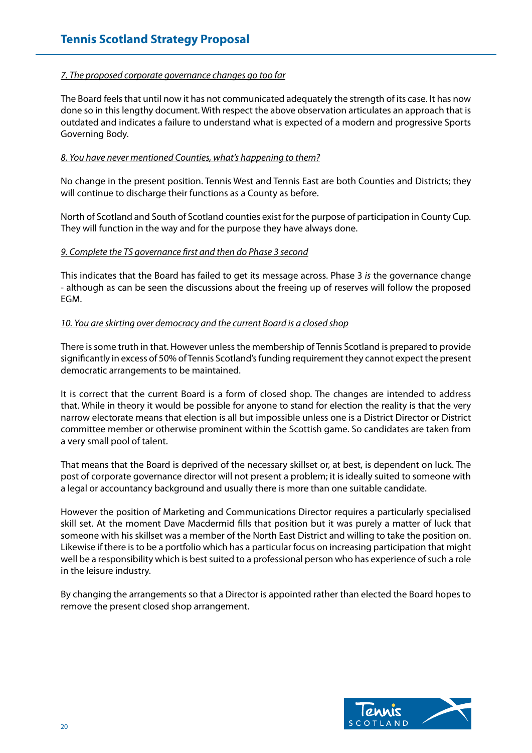### *7. The proposed corporate governance changes go too far*

The Board feels that until now it has not communicated adequately the strength of its case. It has now done so in this lengthy document. With respect the above observation articulates an approach that is outdated and indicates a failure to understand what is expected of a modern and progressive Sports Governing Body.

#### *8. You have never mentioned Counties, what's happening to them?*

No change in the present position. Tennis West and Tennis East are both Counties and Districts; they will continue to discharge their functions as a County as before.

North of Scotland and South of Scotland counties exist for the purpose of participation in County Cup. They will function in the way and for the purpose they have always done.

#### *9. Complete the TS governance first and then do Phase 3 second*

This indicates that the Board has failed to get its message across. Phase 3 *is* the governance change - although as can be seen the discussions about the freeing up of reserves will follow the proposed EGM.

#### *10. You are skirting over democracy and the current Board is a closed shop*

There is some truth in that. However unless the membership of Tennis Scotland is prepared to provide significantly in excess of 50% of Tennis Scotland's funding requirement they cannot expect the present democratic arrangements to be maintained.

It is correct that the current Board is a form of closed shop. The changes are intended to address that. While in theory it would be possible for anyone to stand for election the reality is that the very narrow electorate means that election is all but impossible unless one is a District Director or District committee member or otherwise prominent within the Scottish game. So candidates are taken from a very small pool of talent.

That means that the Board is deprived of the necessary skillset or, at best, is dependent on luck. The post of corporate governance director will not present a problem; it is ideally suited to someone with a legal or accountancy background and usually there is more than one suitable candidate.

However the position of Marketing and Communications Director requires a particularly specialised skill set. At the moment Dave Macdermid fills that position but it was purely a matter of luck that someone with his skillset was a member of the North East District and willing to take the position on. Likewise if there is to be a portfolio which has a particular focus on increasing participation that might well be a responsibility which is best suited to a professional person who has experience of such a role in the leisure industry.

By changing the arrangements so that a Director is appointed rather than elected the Board hopes to remove the present closed shop arrangement.

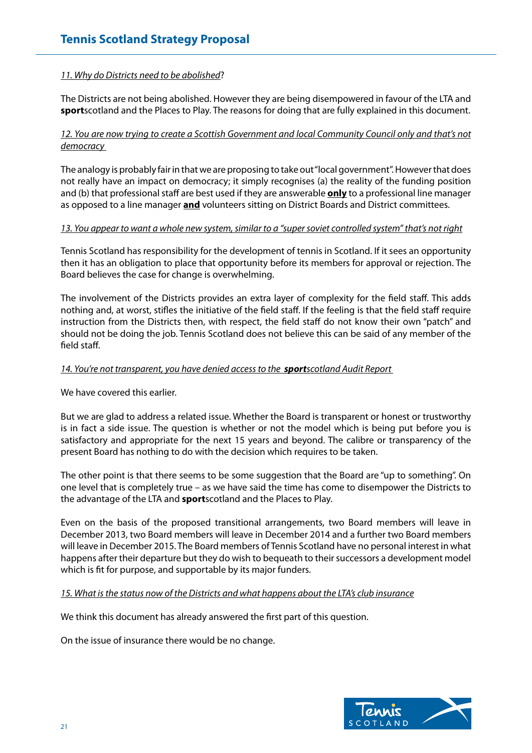# *11. Why do Districts need to be abolished*?

The Districts are not being abolished. However they are being disempowered in favour of the LTA and **sport**scotland and the Places to Play. The reasons for doing that are fully explained in this document.

## *12. You are now trying to create a Scottish Government and local Community Council only and that's not democracy*

The analogy is probably fair in that we are proposing to take out "local government". However that does not really have an impact on democracy; it simply recognises (a) the reality of the funding position and (b) that professional staff are best used if they are answerable **only** to a professional line manager as opposed to a line manager **and** volunteers sitting on District Boards and District committees.

#### *13. You appear to want a whole new system, similar to a "super soviet controlled system" that's not right*

Tennis Scotland has responsibility for the development of tennis in Scotland. If it sees an opportunity then it has an obligation to place that opportunity before its members for approval or rejection. The Board believes the case for change is overwhelming.

The involvement of the Districts provides an extra layer of complexity for the field staff. This adds nothing and, at worst, stifles the initiative of the field staff. If the feeling is that the field staff require instruction from the Districts then, with respect, the field staff do not know their own "patch" and should not be doing the job. Tennis Scotland does not believe this can be said of any member of the field staff.

#### *14. You're not transparent, you have denied access to the sportscotland Audit Report*

We have covered this earlier.

But we are glad to address a related issue. Whether the Board is transparent or honest or trustworthy is in fact a side issue. The question is whether or not the model which is being put before you is satisfactory and appropriate for the next 15 years and beyond. The calibre or transparency of the present Board has nothing to do with the decision which requires to be taken.

The other point is that there seems to be some suggestion that the Board are "up to something". On one level that is completely true – as we have said the time has come to disempower the Districts to the advantage of the LTA and **sport**scotland and the Places to Play.

Even on the basis of the proposed transitional arrangements, two Board members will leave in December 2013, two Board members will leave in December 2014 and a further two Board members will leave in December 2015. The Board members of Tennis Scotland have no personal interest in what happens after their departure but they do wish to bequeath to their successors a development model which is fit for purpose, and supportable by its major funders.

# *15. What is the status now of the Districts and what happens about the LTA's club insurance*

We think this document has already answered the first part of this question.

On the issue of insurance there would be no change.

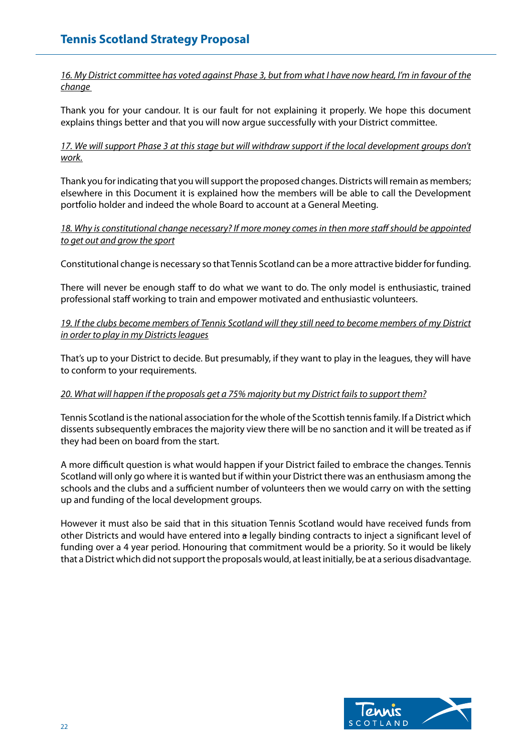*16. My District committee has voted against Phase 3, but from what I have now heard, I'm in favour of the change* 

Thank you for your candour. It is our fault for not explaining it properly. We hope this document explains things better and that you will now argue successfully with your District committee.

# *17. We will support Phase 3 at this stage but will withdraw support if the local development groups don't work.*

Thank you for indicating that you will support the proposed changes. Districts will remain as members; elsewhere in this Document it is explained how the members will be able to call the Development portfolio holder and indeed the whole Board to account at a General Meeting.

# *18. Why is constitutional change necessary? If more money comes in then more staff should be appointed to get out and grow the sport*

Constitutional change is necessary so that Tennis Scotland can be a more attractive bidder for funding.

There will never be enough staff to do what we want to do. The only model is enthusiastic, trained professional staff working to train and empower motivated and enthusiastic volunteers.

# *19. If the clubs become members of Tennis Scotland will they still need to become members of my District in order to play in my Districts leagues*

That's up to your District to decide. But presumably, if they want to play in the leagues, they will have to conform to your requirements.

# *20. What will happen if the proposals get a 75% majority but my District fails to support them?*

Tennis Scotland is the national association for the whole of the Scottish tennis family. If a District which dissents subsequently embraces the majority view there will be no sanction and it will be treated as if they had been on board from the start.

A more difficult question is what would happen if your District failed to embrace the changes. Tennis Scotland will only go where it is wanted but if within your District there was an enthusiasm among the schools and the clubs and a sufficient number of volunteers then we would carry on with the setting up and funding of the local development groups.

However it must also be said that in this situation Tennis Scotland would have received funds from other Districts and would have entered into a legally binding contracts to inject a significant level of funding over a 4 year period. Honouring that commitment would be a priority. So it would be likely that a District which did not support the proposals would, at least initially, be at a serious disadvantage.

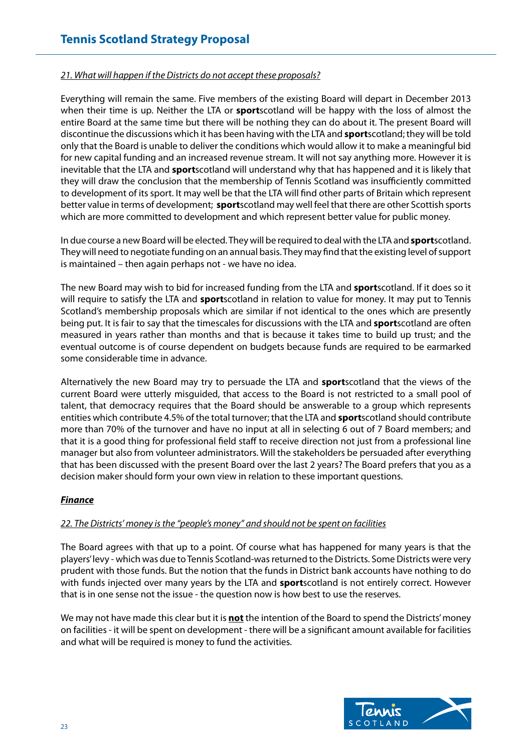# *21. What will happen if the Districts do not accept these proposals?*

Everything will remain the same. Five members of the existing Board will depart in December 2013 when their time is up. Neither the LTA or **sport**scotland will be happy with the loss of almost the entire Board at the same time but there will be nothing they can do about it. The present Board will discontinue the discussions which it has been having with the LTA and **sport**scotland; they will be told only that the Board is unable to deliver the conditions which would allow it to make a meaningful bid for new capital funding and an increased revenue stream. It will not say anything more. However it is inevitable that the LTA and **sport**scotland will understand why that has happened and it is likely that they will draw the conclusion that the membership of Tennis Scotland was insufficiently committed to development of its sport. It may well be that the LTA will find other parts of Britain which represent better value in terms of development; **sport**scotland may well feel that there are other Scottish sports which are more committed to development and which represent better value for public money.

In due course a new Board will be elected. They will be required to deal with the LTA and **sport**scotland. They will need to negotiate funding on an annual basis. They may find that the existing level of support is maintained – then again perhaps not - we have no idea.

The new Board may wish to bid for increased funding from the LTA and **sport**scotland. If it does so it will require to satisfy the LTA and **sport**scotland in relation to value for money. It may put to Tennis Scotland's membership proposals which are similar if not identical to the ones which are presently being put. It is fair to say that the timescales for discussions with the LTA and **sport**scotland are often measured in years rather than months and that is because it takes time to build up trust; and the eventual outcome is of course dependent on budgets because funds are required to be earmarked some considerable time in advance.

Alternatively the new Board may try to persuade the LTA and **sport**scotland that the views of the current Board were utterly misguided, that access to the Board is not restricted to a small pool of talent, that democracy requires that the Board should be answerable to a group which represents entities which contribute 4.5% of the total turnover; that the LTA and **sport**scotland should contribute more than 70% of the turnover and have no input at all in selecting 6 out of 7 Board members; and that it is a good thing for professional field staff to receive direction not just from a professional line manager but also from volunteer administrators. Will the stakeholders be persuaded after everything that has been discussed with the present Board over the last 2 years? The Board prefers that you as a decision maker should form your own view in relation to these important questions.

#### *Finance*

#### *22. The Districts' money is the "people's money" and should not be spent on facilities*

The Board agrees with that up to a point. Of course what has happened for many years is that the players' levy - which was due to Tennis Scotland-was returned to the Districts. Some Districts were very prudent with those funds. But the notion that the funds in District bank accounts have nothing to do with funds injected over many years by the LTA and **sport**scotland is not entirely correct. However that is in one sense not the issue - the question now is how best to use the reserves.

We may not have made this clear but it is **not** the intention of the Board to spend the Districts' money on facilities - it will be spent on development - there will be a significant amount available for facilities and what will be required is money to fund the activities.

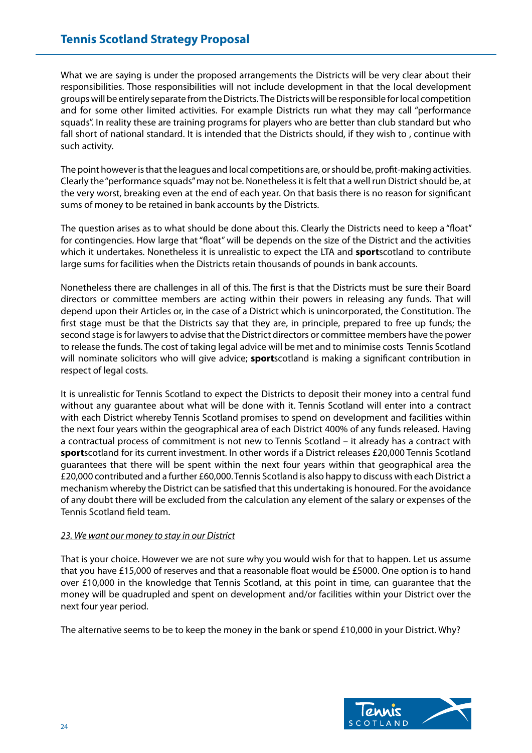What we are saying is under the proposed arrangements the Districts will be very clear about their responsibilities. Those responsibilities will not include development in that the local development groups will be entirely separate from the Districts. The Districts will be responsible for local competition and for some other limited activities. For example Districts run what they may call "performance squads". In reality these are training programs for players who are better than club standard but who fall short of national standard. It is intended that the Districts should, if they wish to , continue with such activity.

The point however is that the leagues and local competitions are, or should be, profit-making activities. Clearly the "performance squads" may not be. Nonetheless it is felt that a well run District should be, at the very worst, breaking even at the end of each year. On that basis there is no reason for significant sums of money to be retained in bank accounts by the Districts.

The question arises as to what should be done about this. Clearly the Districts need to keep a "float" for contingencies. How large that "float" will be depends on the size of the District and the activities which it undertakes. Nonetheless it is unrealistic to expect the LTA and **sport**scotland to contribute large sums for facilities when the Districts retain thousands of pounds in bank accounts.

Nonetheless there are challenges in all of this. The first is that the Districts must be sure their Board directors or committee members are acting within their powers in releasing any funds. That will depend upon their Articles or, in the case of a District which is unincorporated, the Constitution. The first stage must be that the Districts say that they are, in principle, prepared to free up funds; the second stage is for lawyers to advise that the District directors or committee members have the power to release the funds. The cost of taking legal advice will be met and to minimise costs Tennis Scotland will nominate solicitors who will give advice; **sport**scotland is making a significant contribution in respect of legal costs.

It is unrealistic for Tennis Scotland to expect the Districts to deposit their money into a central fund without any guarantee about what will be done with it. Tennis Scotland will enter into a contract with each District whereby Tennis Scotland promises to spend on development and facilities within the next four years within the geographical area of each District 400% of any funds released. Having a contractual process of commitment is not new to Tennis Scotland – it already has a contract with **sport**scotland for its current investment. In other words if a District releases £20,000 Tennis Scotland guarantees that there will be spent within the next four years within that geographical area the £20,000 contributed and a further £60,000. Tennis Scotland is also happy to discuss with each District a mechanism whereby the District can be satisfied that this undertaking is honoured. For the avoidance of any doubt there will be excluded from the calculation any element of the salary or expenses of the Tennis Scotland field team.

# *23. We want our money to stay in our District*

That is your choice. However we are not sure why you would wish for that to happen. Let us assume that you have £15,000 of reserves and that a reasonable float would be £5000. One option is to hand over £10,000 in the knowledge that Tennis Scotland, at this point in time, can guarantee that the money will be quadrupled and spent on development and/or facilities within your District over the next four year period.

The alternative seems to be to keep the money in the bank or spend £10,000 in your District. Why?

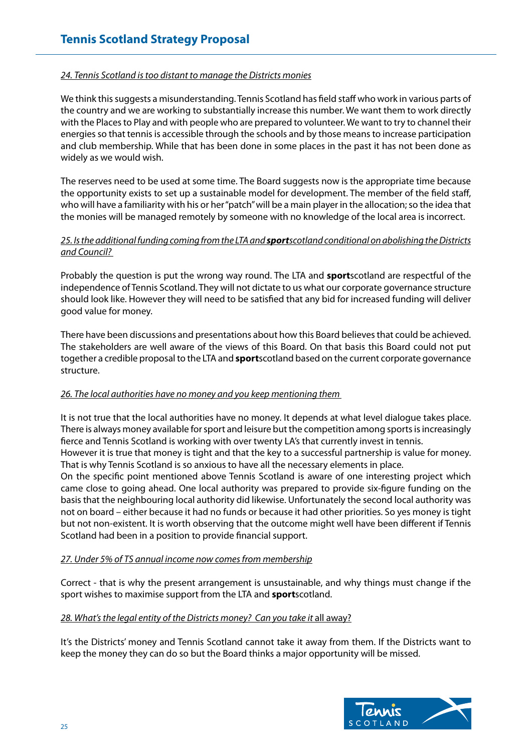#### *24. Tennis Scotland is too distant to manage the Districts monies*

We think this suggests a misunderstanding. Tennis Scotland has field staff who work in various parts of the country and we are working to substantially increase this number. We want them to work directly with the Places to Play and with people who are prepared to volunteer. We want to try to channel their energies so that tennis is accessible through the schools and by those means to increase participation and club membership. While that has been done in some places in the past it has not been done as widely as we would wish.

The reserves need to be used at some time. The Board suggests now is the appropriate time because the opportunity exists to set up a sustainable model for development. The member of the field staff, who will have a familiarity with his or her "patch" will be a main player in the allocation; so the idea that the monies will be managed remotely by someone with no knowledge of the local area is incorrect.

# *25. Is the additional funding coming from the LTA and sportscotland conditional on abolishing the Districts and Council?*

Probably the question is put the wrong way round. The LTA and **sport**scotland are respectful of the independence of Tennis Scotland. They will not dictate to us what our corporate governance structure should look like. However they will need to be satisfied that any bid for increased funding will deliver good value for money.

There have been discussions and presentations about how this Board believes that could be achieved. The stakeholders are well aware of the views of this Board. On that basis this Board could not put together a credible proposal to the LTA and **sport**scotland based on the current corporate governance structure.

# *26. The local authorities have no money and you keep mentioning them*

It is not true that the local authorities have no money. It depends at what level dialogue takes place. There is always money available for sport and leisure but the competition among sports is increasingly fierce and Tennis Scotland is working with over twenty LA's that currently invest in tennis.

However it is true that money is tight and that the key to a successful partnership is value for money. That is why Tennis Scotland is so anxious to have all the necessary elements in place.

On the specific point mentioned above Tennis Scotland is aware of one interesting project which came close to going ahead. One local authority was prepared to provide six-figure funding on the basis that the neighbouring local authority did likewise. Unfortunately the second local authority was not on board – either because it had no funds or because it had other priorities. So yes money is tight but not non-existent. It is worth observing that the outcome might well have been different if Tennis Scotland had been in a position to provide financial support.

#### *27. Under 5% of TS annual income now comes from membership*

Correct - that is why the present arrangement is unsustainable, and why things must change if the sport wishes to maximise support from the LTA and **sport**scotland.

# 28. What's the legal entity of the Districts money? Can you take it all away?

It's the Districts' money and Tennis Scotland cannot take it away from them. If the Districts want to keep the money they can do so but the Board thinks a major opportunity will be missed.

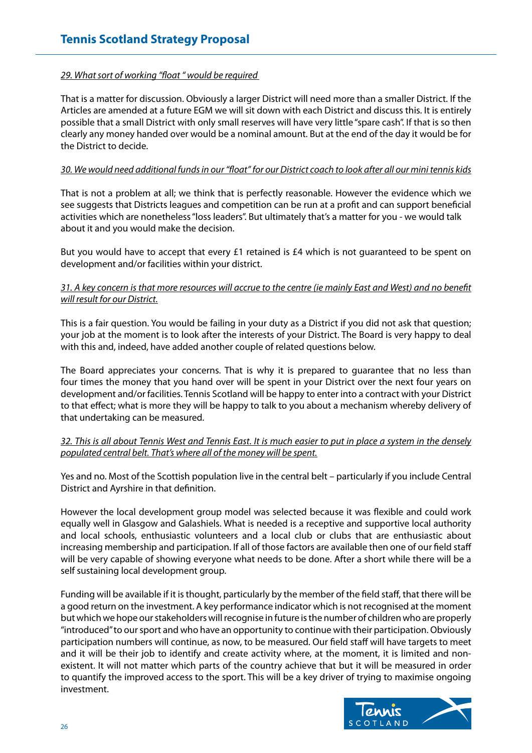## *29. What sort of working "float " would be required*

That is a matter for discussion. Obviously a larger District will need more than a smaller District. If the Articles are amended at a future EGM we will sit down with each District and discuss this. It is entirely possible that a small District with only small reserves will have very little "spare cash". If that is so then clearly any money handed over would be a nominal amount. But at the end of the day it would be for the District to decide.

#### *30. We would need additional funds in our "float" for our District coach to look after all our mini tennis kids*

That is not a problem at all; we think that is perfectly reasonable. However the evidence which we see suggests that Districts leagues and competition can be run at a profit and can support beneficial activities which are nonetheless "loss leaders". But ultimately that's a matter for you - we would talk about it and you would make the decision.

But you would have to accept that every £1 retained is  $£4$  which is not quaranteed to be spent on development and/or facilities within your district.

## *31. A key concern is that more resources will accrue to the centre (ie mainly East and West) and no benefit will result for our District.*

This is a fair question. You would be failing in your duty as a District if you did not ask that question; your job at the moment is to look after the interests of your District. The Board is very happy to deal with this and, indeed, have added another couple of related questions below.

The Board appreciates your concerns. That is why it is prepared to guarantee that no less than four times the money that you hand over will be spent in your District over the next four years on development and/or facilities. Tennis Scotland will be happy to enter into a contract with your District to that effect; what is more they will be happy to talk to you about a mechanism whereby delivery of that undertaking can be measured.

#### *32. This is all about Tennis West and Tennis East. It is much easier to put in place a system in the densely populated central belt. That's where all of the money will be spent.*

Yes and no. Most of the Scottish population live in the central belt – particularly if you include Central District and Ayrshire in that definition.

However the local development group model was selected because it was flexible and could work equally well in Glasgow and Galashiels. What is needed is a receptive and supportive local authority and local schools, enthusiastic volunteers and a local club or clubs that are enthusiastic about increasing membership and participation. If all of those factors are available then one of our field staff will be very capable of showing everyone what needs to be done. After a short while there will be a self sustaining local development group.

Funding will be available if it is thought, particularly by the member of the field staff, that there will be a good return on the investment. A key performance indicator which is not recognised at the moment but which we hope our stakeholders will recognise in future is the number of children who are properly "introduced" to our sport and who have an opportunity to continue with their participation. Obviously participation numbers will continue, as now, to be measured. Our field staff will have targets to meet and it will be their job to identify and create activity where, at the moment, it is limited and nonexistent. It will not matter which parts of the country achieve that but it will be measured in order to quantify the improved access to the sport. This will be a key driver of trying to maximise ongoing investment.

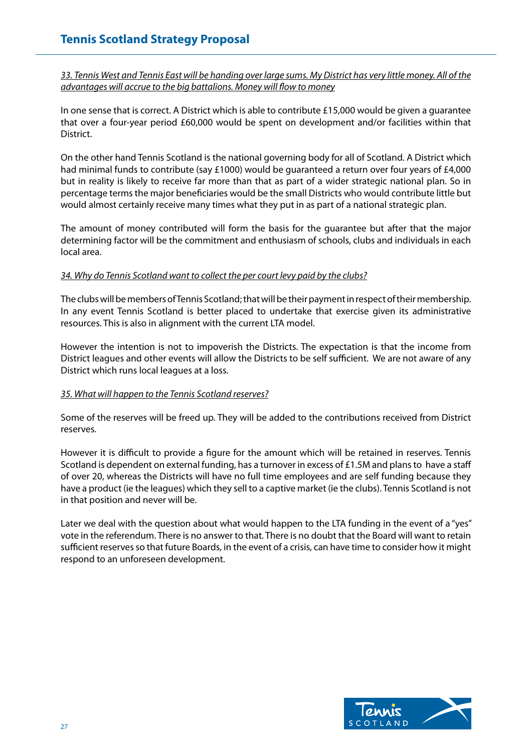*33. Tennis West and Tennis East will be handing over large sums. My District has very little money. All of the advantages will accrue to the big battalions. Money will flow to money*

In one sense that is correct. A District which is able to contribute £15,000 would be given a guarantee that over a four-year period £60,000 would be spent on development and/or facilities within that District.

On the other hand Tennis Scotland is the national governing body for all of Scotland. A District which had minimal funds to contribute (say £1000) would be guaranteed a return over four years of £4,000 but in reality is likely to receive far more than that as part of a wider strategic national plan. So in percentage terms the major beneficiaries would be the small Districts who would contribute little but would almost certainly receive many times what they put in as part of a national strategic plan.

The amount of money contributed will form the basis for the guarantee but after that the major determining factor will be the commitment and enthusiasm of schools, clubs and individuals in each local area.

#### *34. Why do Tennis Scotland want to collect the per court levy paid by the clubs?*

The clubs will be members of Tennis Scotland; that will be their payment in respect of their membership. In any event Tennis Scotland is better placed to undertake that exercise given its administrative resources. This is also in alignment with the current LTA model.

However the intention is not to impoverish the Districts. The expectation is that the income from District leagues and other events will allow the Districts to be self sufficient. We are not aware of any District which runs local leagues at a loss.

# *35. What will happen to the Tennis Scotland reserves?*

Some of the reserves will be freed up. They will be added to the contributions received from District reserves.

However it is difficult to provide a figure for the amount which will be retained in reserves. Tennis Scotland is dependent on external funding, has a turnover in excess of £1.5M and plans to have a staff of over 20, whereas the Districts will have no full time employees and are self funding because they have a product (ie the leagues) which they sell to a captive market (ie the clubs). Tennis Scotland is not in that position and never will be.

Later we deal with the question about what would happen to the LTA funding in the event of a "yes" vote in the referendum. There is no answer to that. There is no doubt that the Board will want to retain sufficient reserves so that future Boards, in the event of a crisis, can have time to consider how it might respond to an unforeseen development.

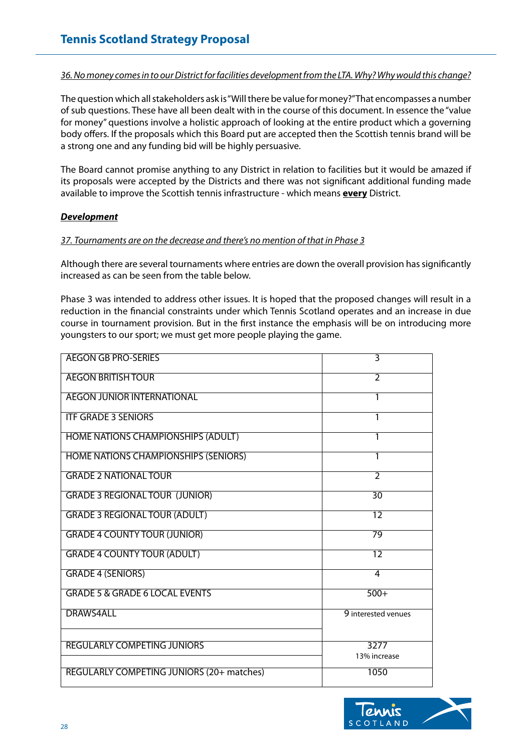*36. No money comes in to our District for facilities development from the LTA. Why? Why would this change?*

The question which all stakeholders ask is "Will there be value for money?" That encompasses a number of sub questions. These have all been dealt with in the course of this document. In essence the "value for money" questions involve a holistic approach of looking at the entire product which a governing body offers. If the proposals which this Board put are accepted then the Scottish tennis brand will be a strong one and any funding bid will be highly persuasive.

The Board cannot promise anything to any District in relation to facilities but it would be amazed if its proposals were accepted by the Districts and there was not significant additional funding made available to improve the Scottish tennis infrastructure - which means **every** District.

#### *Development*

#### *37. Tournaments are on the decrease and there's no mention of that in Phase 3*

Although there are several tournaments where entries are down the overall provision has significantly increased as can be seen from the table below.

Phase 3 was intended to address other issues. It is hoped that the proposed changes will result in a reduction in the financial constraints under which Tennis Scotland operates and an increase in due course in tournament provision. But in the first instance the emphasis will be on introducing more youngsters to our sport; we must get more people playing the game.

| <b>AEGON GB PRO-SERIES</b>                       | 3                        |
|--------------------------------------------------|--------------------------|
| <b>AEGON BRITISH TOUR</b>                        | $\overline{2}$           |
| <b>AEGON JUNIOR INTERNATIONAL</b>                | 1                        |
| <b>ITF GRADE 3 SENIORS</b>                       | 1                        |
| <b>HOME NATIONS CHAMPIONSHIPS (ADULT)</b>        | 1                        |
| <b>HOME NATIONS CHAMPIONSHIPS (SENIORS)</b>      |                          |
| <b>GRADE 2 NATIONAL TOUR</b>                     | $\overline{\mathcal{L}}$ |
| <b>GRADE 3 REGIONAL TOUR (JUNIOR)</b>            | $\overline{30}$          |
| <b>GRADE 3 REGIONAL TOUR (ADULT)</b>             | $\overline{12}$          |
| <b>GRADE 4 COUNTY TOUR (JUNIOR)</b>              | $\overline{79}$          |
| <b>GRADE 4 COUNTY TOUR (ADULT)</b>               | $\overline{12}$          |
| <b>GRADE 4 (SENIORS)</b>                         | $\overline{4}$           |
| <b>GRADE 5 &amp; GRADE 6 LOCAL EVENTS</b>        | $500+$                   |
| <b>DRAWS4ALL</b>                                 | 9 interested venues      |
| <b>REGULARLY COMPETING JUNIORS</b>               | 3277                     |
|                                                  | 13% increase             |
| <b>REGULARLY COMPETING JUNIORS (20+ matches)</b> | 1050                     |

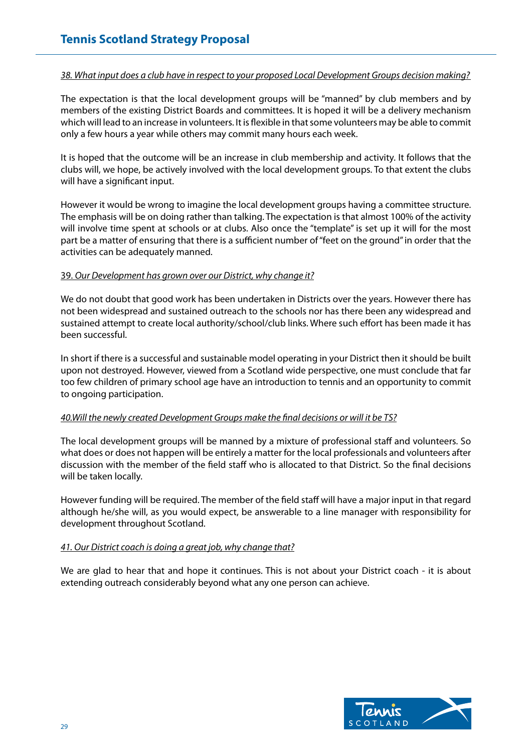#### *38. What input does a club have in respect to your proposed Local Development Groups decision making?*

The expectation is that the local development groups will be "manned" by club members and by members of the existing District Boards and committees. It is hoped it will be a delivery mechanism which will lead to an increase in volunteers. It is flexible in that some volunteers may be able to commit only a few hours a year while others may commit many hours each week.

It is hoped that the outcome will be an increase in club membership and activity. It follows that the clubs will, we hope, be actively involved with the local development groups. To that extent the clubs will have a significant input.

However it would be wrong to imagine the local development groups having a committee structure. The emphasis will be on doing rather than talking. The expectation is that almost 100% of the activity will involve time spent at schools or at clubs. Also once the "template" is set up it will for the most part be a matter of ensuring that there is a sufficient number of "feet on the ground" in order that the activities can be adequately manned.

#### 39. *Our Development has grown over our District, why change it?*

We do not doubt that good work has been undertaken in Districts over the years. However there has not been widespread and sustained outreach to the schools nor has there been any widespread and sustained attempt to create local authority/school/club links. Where such effort has been made it has been successful.

In short if there is a successful and sustainable model operating in your District then it should be built upon not destroyed. However, viewed from a Scotland wide perspective, one must conclude that far too few children of primary school age have an introduction to tennis and an opportunity to commit to ongoing participation.

# *40.Will the newly created Development Groups make the final decisions or will it be TS?*

The local development groups will be manned by a mixture of professional staff and volunteers. So what does or does not happen will be entirely a matter for the local professionals and volunteers after discussion with the member of the field staff who is allocated to that District. So the final decisions will be taken locally.

However funding will be required. The member of the field staff will have a major input in that regard although he/she will, as you would expect, be answerable to a line manager with responsibility for development throughout Scotland.

# *41. Our District coach is doing a great job, why change that?*

We are glad to hear that and hope it continues. This is not about your District coach - it is about extending outreach considerably beyond what any one person can achieve.

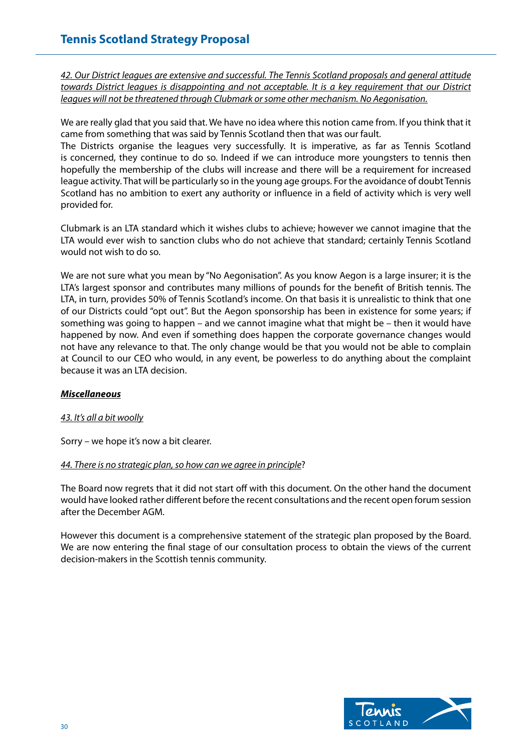*42. Our District leagues are extensive and successful. The Tennis Scotland proposals and general attitude towards District leagues is disappointing and not acceptable. It is a key requirement that our District leagues will not be threatened through Clubmark or some other mechanism. No Aegonisation.*

We are really glad that you said that. We have no idea where this notion came from. If you think that it came from something that was said by Tennis Scotland then that was our fault.

The Districts organise the leagues very successfully. It is imperative, as far as Tennis Scotland is concerned, they continue to do so. Indeed if we can introduce more youngsters to tennis then hopefully the membership of the clubs will increase and there will be a requirement for increased league activity. That will be particularly so in the young age groups. For the avoidance of doubt Tennis Scotland has no ambition to exert any authority or influence in a field of activity which is very well provided for.

Clubmark is an LTA standard which it wishes clubs to achieve; however we cannot imagine that the LTA would ever wish to sanction clubs who do not achieve that standard; certainly Tennis Scotland would not wish to do so.

We are not sure what you mean by "No Aegonisation". As you know Aegon is a large insurer; it is the LTA's largest sponsor and contributes many millions of pounds for the benefit of British tennis. The LTA, in turn, provides 50% of Tennis Scotland's income. On that basis it is unrealistic to think that one of our Districts could "opt out". But the Aegon sponsorship has been in existence for some years; if something was going to happen – and we cannot imagine what that might be – then it would have happened by now. And even if something does happen the corporate governance changes would not have any relevance to that. The only change would be that you would not be able to complain at Council to our CEO who would, in any event, be powerless to do anything about the complaint because it was an LTA decision.

# *Miscellaneous*

# *43. It's all a bit woolly*

Sorry – we hope it's now a bit clearer.

# *44. There is no strategic plan, so how can we agree in principle*?

The Board now regrets that it did not start off with this document. On the other hand the document would have looked rather different before the recent consultations and the recent open forum session after the December AGM.

However this document is a comprehensive statement of the strategic plan proposed by the Board. We are now entering the final stage of our consultation process to obtain the views of the current decision-makers in the Scottish tennis community.

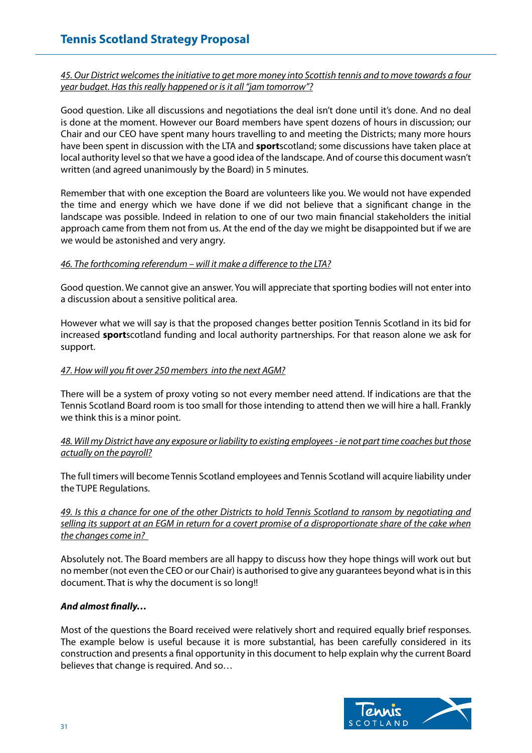*45. Our District welcomes the initiative to get more money into Scottish tennis and to move towards a four year budget. Has this really happened or is it all "jam tomorrow"?*

Good question. Like all discussions and negotiations the deal isn't done until it's done. And no deal is done at the moment. However our Board members have spent dozens of hours in discussion; our Chair and our CEO have spent many hours travelling to and meeting the Districts; many more hours have been spent in discussion with the LTA and **sport**scotland; some discussions have taken place at local authority level so that we have a good idea of the landscape. And of course this document wasn't written (and agreed unanimously by the Board) in 5 minutes.

Remember that with one exception the Board are volunteers like you. We would not have expended the time and energy which we have done if we did not believe that a significant change in the landscape was possible. Indeed in relation to one of our two main financial stakeholders the initial approach came from them not from us. At the end of the day we might be disappointed but if we are we would be astonished and very angry.

# *46. The forthcoming referendum – will it make a difference to the LTA?*

Good question. We cannot give an answer. You will appreciate that sporting bodies will not enter into a discussion about a sensitive political area.

However what we will say is that the proposed changes better position Tennis Scotland in its bid for increased **sport**scotland funding and local authority partnerships. For that reason alone we ask for support.

#### *47. How will you fit over 250 members into the next AGM?*

There will be a system of proxy voting so not every member need attend. If indications are that the Tennis Scotland Board room is too small for those intending to attend then we will hire a hall. Frankly we think this is a minor point.

# *48. Will my District have any exposure or liability to existing employees - ie not part time coaches but those actually on the payroll?*

The full timers will become Tennis Scotland employees and Tennis Scotland will acquire liability under the TUPE Regulations.

*49. Is this a chance for one of the other Districts to hold Tennis Scotland to ransom by negotiating and selling its support at an EGM in return for a covert promise of a disproportionate share of the cake when the changes come in?* 

Absolutely not. The Board members are all happy to discuss how they hope things will work out but no member (not even the CEO or our Chair) is authorised to give any guarantees beyond what is in this document. That is why the document is so long!!

# *And almost finally…*

Most of the questions the Board received were relatively short and required equally brief responses. The example below is useful because it is more substantial, has been carefully considered in its construction and presents a final opportunity in this document to help explain why the current Board believes that change is required. And so…

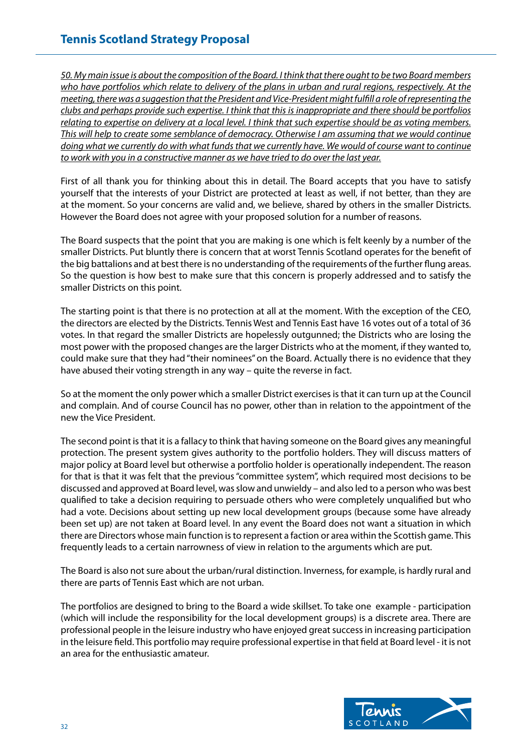*50. My main issue is about the composition of the Board. I think that there ought to be two Board members who have portfolios which relate to delivery of the plans in urban and rural regions, respectively. At the meeting, there was a suggestion that the President and Vice-President might fulfill a role of representing the clubs and perhaps provide such expertise. I think that this is inappropriate and there should be portfolios relating to expertise on delivery at a local level. I think that such expertise should be as voting members. This will help to create some semblance of democracy. Otherwise I am assuming that we would continue doing what we currently do with what funds that we currently have. We would of course want to continue to work with you in a constructive manner as we have tried to do over the last year.*

First of all thank you for thinking about this in detail. The Board accepts that you have to satisfy yourself that the interests of your District are protected at least as well, if not better, than they are at the moment. So your concerns are valid and, we believe, shared by others in the smaller Districts. However the Board does not agree with your proposed solution for a number of reasons.

The Board suspects that the point that you are making is one which is felt keenly by a number of the smaller Districts. Put bluntly there is concern that at worst Tennis Scotland operates for the benefit of the big battalions and at best there is no understanding of the requirements of the further flung areas. So the question is how best to make sure that this concern is properly addressed and to satisfy the smaller Districts on this point.

The starting point is that there is no protection at all at the moment. With the exception of the CEO, the directors are elected by the Districts. Tennis West and Tennis East have 16 votes out of a total of 36 votes. In that regard the smaller Districts are hopelessly outgunned; the Districts who are losing the most power with the proposed changes are the larger Districts who at the moment, if they wanted to, could make sure that they had "their nominees" on the Board. Actually there is no evidence that they have abused their voting strength in any way – quite the reverse in fact.

So at the moment the only power which a smaller District exercises is that it can turn up at the Council and complain. And of course Council has no power, other than in relation to the appointment of the new the Vice President.

The second point is that it is a fallacy to think that having someone on the Board gives any meaningful protection. The present system gives authority to the portfolio holders. They will discuss matters of major policy at Board level but otherwise a portfolio holder is operationally independent. The reason for that is that it was felt that the previous "committee system", which required most decisions to be discussed and approved at Board level, was slow and unwieldy – and also led to a person who was best qualified to take a decision requiring to persuade others who were completely unqualified but who had a vote. Decisions about setting up new local development groups (because some have already been set up) are not taken at Board level. In any event the Board does not want a situation in which there are Directors whose main function is to represent a faction or area within the Scottish game. This frequently leads to a certain narrowness of view in relation to the arguments which are put.

The Board is also not sure about the urban/rural distinction. Inverness, for example, is hardly rural and there are parts of Tennis East which are not urban.

The portfolios are designed to bring to the Board a wide skillset. To take one example - participation (which will include the responsibility for the local development groups) is a discrete area. There are professional people in the leisure industry who have enjoyed great success in increasing participation in the leisure field. This portfolio may require professional expertise in that field at Board level - it is not an area for the enthusiastic amateur.

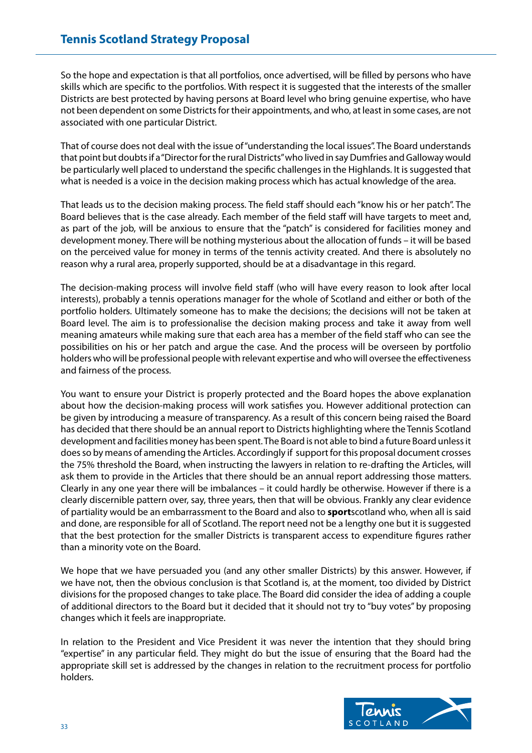So the hope and expectation is that all portfolios, once advertised, will be filled by persons who have skills which are specific to the portfolios. With respect it is suggested that the interests of the smaller Districts are best protected by having persons at Board level who bring genuine expertise, who have not been dependent on some Districts for their appointments, and who, at least in some cases, are not associated with one particular District.

That of course does not deal with the issue of "understanding the local issues". The Board understands that point but doubts if a "Director for the rural Districts" who lived in say Dumfries and Galloway would be particularly well placed to understand the specific challenges in the Highlands. It is suggested that what is needed is a voice in the decision making process which has actual knowledge of the area.

That leads us to the decision making process. The field staff should each "know his or her patch". The Board believes that is the case already. Each member of the field staff will have targets to meet and, as part of the job, will be anxious to ensure that the "patch" is considered for facilities money and development money. There will be nothing mysterious about the allocation of funds – it will be based on the perceived value for money in terms of the tennis activity created. And there is absolutely no reason why a rural area, properly supported, should be at a disadvantage in this regard.

The decision-making process will involve field staff (who will have every reason to look after local interests), probably a tennis operations manager for the whole of Scotland and either or both of the portfolio holders. Ultimately someone has to make the decisions; the decisions will not be taken at Board level. The aim is to professionalise the decision making process and take it away from well meaning amateurs while making sure that each area has a member of the field staff who can see the possibilities on his or her patch and argue the case. And the process will be overseen by portfolio holders who will be professional people with relevant expertise and who will oversee the effectiveness and fairness of the process.

You want to ensure your District is properly protected and the Board hopes the above explanation about how the decision-making process will work satisfies you. However additional protection can be given by introducing a measure of transparency. As a result of this concern being raised the Board has decided that there should be an annual report to Districts highlighting where the Tennis Scotland development and facilities money has been spent. The Board is not able to bind a future Board unless it does so by means of amending the Articles. Accordingly if support for this proposal document crosses the 75% threshold the Board, when instructing the lawyers in relation to re-drafting the Articles, will ask them to provide in the Articles that there should be an annual report addressing those matters. Clearly in any one year there will be imbalances – it could hardly be otherwise. However if there is a clearly discernible pattern over, say, three years, then that will be obvious. Frankly any clear evidence of partiality would be an embarrassment to the Board and also to **sport**scotland who, when all is said and done, are responsible for all of Scotland. The report need not be a lengthy one but it is suggested that the best protection for the smaller Districts is transparent access to expenditure figures rather than a minority vote on the Board.

We hope that we have persuaded you (and any other smaller Districts) by this answer. However, if we have not, then the obvious conclusion is that Scotland is, at the moment, too divided by District divisions for the proposed changes to take place. The Board did consider the idea of adding a couple of additional directors to the Board but it decided that it should not try to "buy votes" by proposing changes which it feels are inappropriate.

In relation to the President and Vice President it was never the intention that they should bring "expertise" in any particular field. They might do but the issue of ensuring that the Board had the appropriate skill set is addressed by the changes in relation to the recruitment process for portfolio holders.

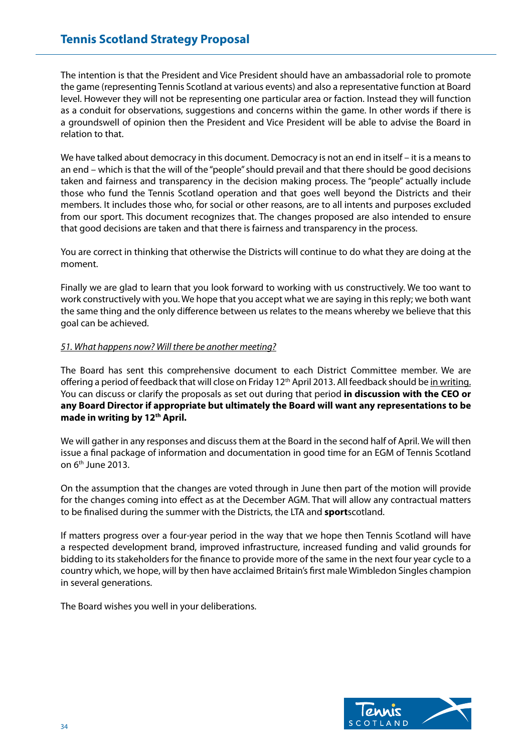The intention is that the President and Vice President should have an ambassadorial role to promote the game (representing Tennis Scotland at various events) and also a representative function at Board level. However they will not be representing one particular area or faction. Instead they will function as a conduit for observations, suggestions and concerns within the game. In other words if there is a groundswell of opinion then the President and Vice President will be able to advise the Board in relation to that.

We have talked about democracy in this document. Democracy is not an end in itself – it is a means to an end – which is that the will of the "people" should prevail and that there should be good decisions taken and fairness and transparency in the decision making process. The "people" actually include those who fund the Tennis Scotland operation and that goes well beyond the Districts and their members. It includes those who, for social or other reasons, are to all intents and purposes excluded from our sport. This document recognizes that. The changes proposed are also intended to ensure that good decisions are taken and that there is fairness and transparency in the process.

You are correct in thinking that otherwise the Districts will continue to do what they are doing at the moment.

Finally we are glad to learn that you look forward to working with us constructively. We too want to work constructively with you. We hope that you accept what we are saying in this reply; we both want the same thing and the only difference between us relates to the means whereby we believe that this goal can be achieved.

# *51. What happens now? Will there be another meeting?*

The Board has sent this comprehensive document to each District Committee member. We are offering a period of feedback that will close on Friday 12<sup>th</sup> April 2013. All feedback should be in writing. You can discuss or clarify the proposals as set out during that period **in discussion with the CEO or any Board Director if appropriate but ultimately the Board will want any representations to be**  made in writing by 12<sup>th</sup> April.

We will gather in any responses and discuss them at the Board in the second half of April. We will then issue a final package of information and documentation in good time for an EGM of Tennis Scotland on  $6<sup>th</sup>$  June 2013.

On the assumption that the changes are voted through in June then part of the motion will provide for the changes coming into effect as at the December AGM. That will allow any contractual matters to be finalised during the summer with the Districts, the LTA and **sport**scotland.

If matters progress over a four-year period in the way that we hope then Tennis Scotland will have a respected development brand, improved infrastructure, increased funding and valid grounds for bidding to its stakeholders for the finance to provide more of the same in the next four year cycle to a country which, we hope, will by then have acclaimed Britain's first male Wimbledon Singles champion in several generations.

The Board wishes you well in your deliberations.

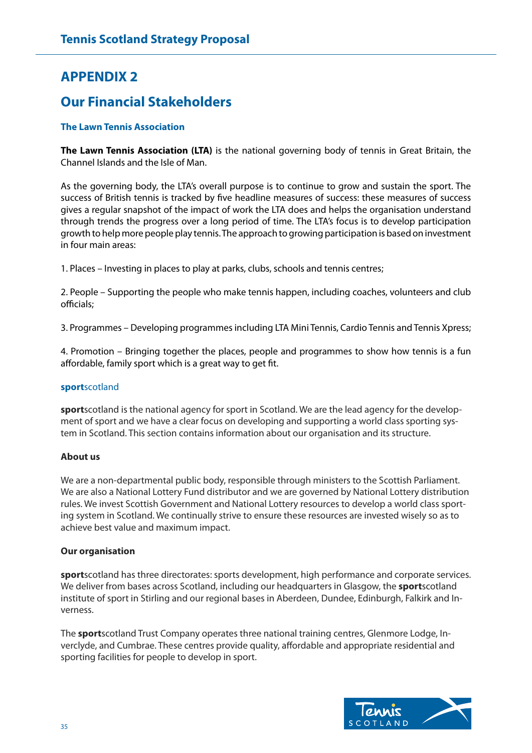# **APPENDIX 2**

# **Our Financial Stakeholders**

# **The Lawn Tennis Association**

**The Lawn Tennis Association (LTA)** is the national governing body of tennis in Great Britain, the Channel Islands and the Isle of Man.

As the governing body, the LTA's overall purpose is to continue to grow and sustain the sport. The success of British tennis is tracked by five headline measures of success: these measures of success gives a regular snapshot of the impact of work the LTA does and helps the organisation understand through trends the progress over a long period of time. The LTA's focus is to develop participation growth to help more people play tennis. The approach to growing participation is based on investment in four main areas:

1. Places – Investing in places to play at parks, clubs, schools and tennis centres;

2. People – Supporting the people who make tennis happen, including coaches, volunteers and club officials;

3. Programmes – Developing programmes including LTA Mini Tennis, Cardio Tennis and Tennis Xpress;

4. Promotion – Bringing together the places, people and programmes to show how tennis is a fun affordable, family sport which is a great way to get fit.

#### **sport**scotland

**sport**scotland is the national agency for sport in Scotland. We are the lead agency for the development of sport and we have a clear focus on developing and supporting a world class sporting system in Scotland. This section contains information about our organisation and its structure.

#### **About us**

We are a non-departmental public body, responsible through ministers to the Scottish Parliament. We are also a National Lottery Fund distributor and we are governed by National Lottery distribution rules. We invest Scottish Government and National Lottery resources to develop a world class sporting system in Scotland. We continually strive to ensure these resources are invested wisely so as to achieve best value and maximum impact.

#### **Our organisation**

**sport**scotland has three directorates: sports development, high performance and corporate services. We deliver from bases across Scotland, including our headquarters in Glasgow, the **sport**scotland institute of sport in Stirling and our regional bases in Aberdeen, Dundee, Edinburgh, Falkirk and Inverness.

The **sport**scotland Trust Company operates three national training centres, Glenmore Lodge, Inverclyde, and Cumbrae. These centres provide quality, affordable and appropriate residential and sporting facilities for people to develop in sport.